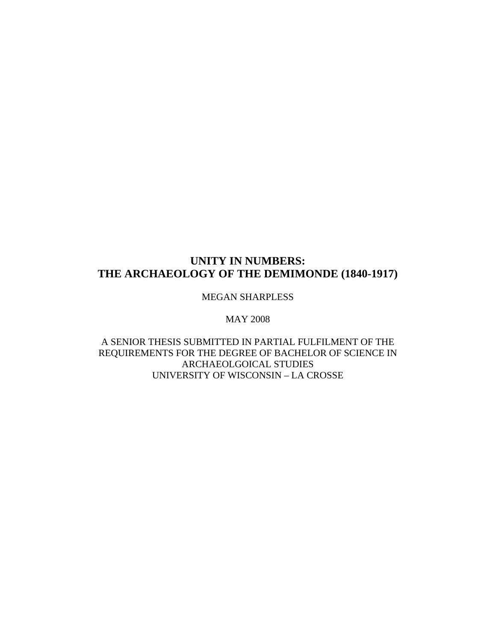# **UNITY IN NUMBERS: THE ARCHAEOLOGY OF THE DEMIMONDE (1840-1917)**

MEGAN SHARPLESS

MAY 2008

A SENIOR THESIS SUBMITTED IN PARTIAL FULFILMENT OF THE REQUIREMENTS FOR THE DEGREE OF BACHELOR OF SCIENCE IN ARCHAEOLGOICAL STUDIES UNIVERSITY OF WISCONSIN – LA CROSSE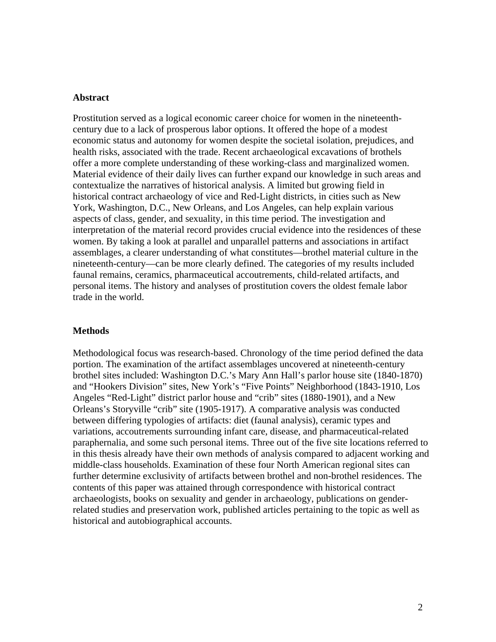### **Abstract**

Prostitution served as a logical economic career choice for women in the nineteenthcentury due to a lack of prosperous labor options. It offered the hope of a modest economic status and autonomy for women despite the societal isolation, prejudices, and health risks, associated with the trade. Recent archaeological excavations of brothels offer a more complete understanding of these working-class and marginalized women. Material evidence of their daily lives can further expand our knowledge in such areas and contextualize the narratives of historical analysis. A limited but growing field in historical contract archaeology of vice and Red-Light districts, in cities such as New York, Washington, D.C., New Orleans, and Los Angeles, can help explain various aspects of class, gender, and sexuality, in this time period. The investigation and interpretation of the material record provides crucial evidence into the residences of these women. By taking a look at parallel and unparallel patterns and associations in artifact assemblages, a clearer understanding of what constitutes—brothel material culture in the nineteenth-century—can be more clearly defined. The categories of my results included faunal remains, ceramics, pharmaceutical accoutrements, child-related artifacts, and personal items. The history and analyses of prostitution covers the oldest female labor trade in the world.

### **Methods**

Methodological focus was research-based. Chronology of the time period defined the data portion. The examination of the artifact assemblages uncovered at nineteenth-century brothel sites included: Washington D.C.'s Mary Ann Hall's parlor house site (1840-1870) and "Hookers Division" sites, New York's "Five Points" Neighborhood (1843-1910, Los Angeles "Red-Light" district parlor house and "crib" sites (1880-1901), and a New Orleans's Storyville "crib" site (1905-1917). A comparative analysis was conducted between differing typologies of artifacts: diet (faunal analysis), ceramic types and variations, accoutrements surrounding infant care, disease, and pharmaceutical-related paraphernalia, and some such personal items. Three out of the five site locations referred to in this thesis already have their own methods of analysis compared to adjacent working and middle-class households. Examination of these four North American regional sites can further determine exclusivity of artifacts between brothel and non-brothel residences. The contents of this paper was attained through correspondence with historical contract archaeologists, books on sexuality and gender in archaeology, publications on genderrelated studies and preservation work, published articles pertaining to the topic as well as historical and autobiographical accounts.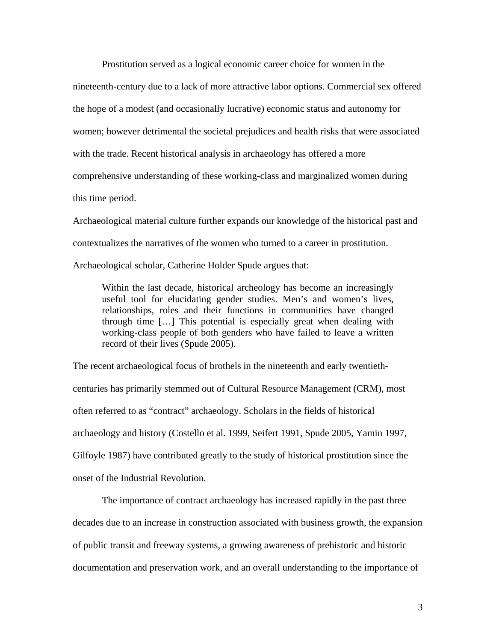Prostitution served as a logical economic career choice for women in the nineteenth-century due to a lack of more attractive labor options. Commercial sex offered the hope of a modest (and occasionally lucrative) economic status and autonomy for women; however detrimental the societal prejudices and health risks that were associated with the trade. Recent historical analysis in archaeology has offered a more comprehensive understanding of these working-class and marginalized women during this time period.

Archaeological material culture further expands our knowledge of the historical past and contextualizes the narratives of the women who turned to a career in prostitution.

Archaeological scholar, Catherine Holder Spude argues that:

Within the last decade, historical archeology has become an increasingly useful tool for elucidating gender studies. Men's and women's lives, relationships, roles and their functions in communities have changed through time […] This potential is especially great when dealing with working-class people of both genders who have failed to leave a written record of their lives (Spude 2005).

The recent archaeological focus of brothels in the nineteenth and early twentiethcenturies has primarily stemmed out of Cultural Resource Management (CRM), most often referred to as "contract" archaeology. Scholars in the fields of historical archaeology and history (Costello et al. 1999, Seifert 1991, Spude 2005, Yamin 1997, Gilfoyle 1987) have contributed greatly to the study of historical prostitution since the onset of the Industrial Revolution.

The importance of contract archaeology has increased rapidly in the past three decades due to an increase in construction associated with business growth, the expansion of public transit and freeway systems, a growing awareness of prehistoric and historic documentation and preservation work, and an overall understanding to the importance of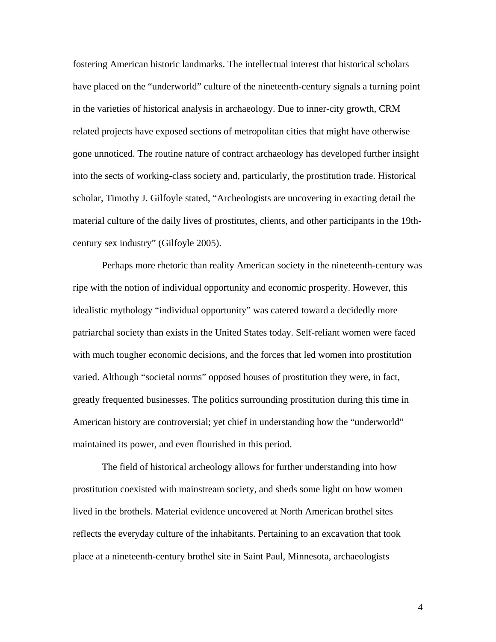fostering American historic landmarks. The intellectual interest that historical scholars have placed on the "underworld" culture of the nineteenth-century signals a turning point in the varieties of historical analysis in archaeology. Due to inner-city growth, CRM related projects have exposed sections of metropolitan cities that might have otherwise gone unnoticed. The routine nature of contract archaeology has developed further insight into the sects of working-class society and, particularly, the prostitution trade. Historical scholar, Timothy J. Gilfoyle stated, "Archeologists are uncovering in exacting detail the material culture of the daily lives of prostitutes, clients, and other participants in the 19thcentury sex industry" (Gilfoyle 2005).

Perhaps more rhetoric than reality American society in the nineteenth-century was ripe with the notion of individual opportunity and economic prosperity. However, this idealistic mythology "individual opportunity" was catered toward a decidedly more patriarchal society than exists in the United States today. Self-reliant women were faced with much tougher economic decisions, and the forces that led women into prostitution varied. Although "societal norms" opposed houses of prostitution they were, in fact, greatly frequented businesses. The politics surrounding prostitution during this time in American history are controversial; yet chief in understanding how the "underworld" maintained its power, and even flourished in this period.

The field of historical archeology allows for further understanding into how prostitution coexisted with mainstream society, and sheds some light on how women lived in the brothels. Material evidence uncovered at North American brothel sites reflects the everyday culture of the inhabitants. Pertaining to an excavation that took place at a nineteenth-century brothel site in Saint Paul, Minnesota, archaeologists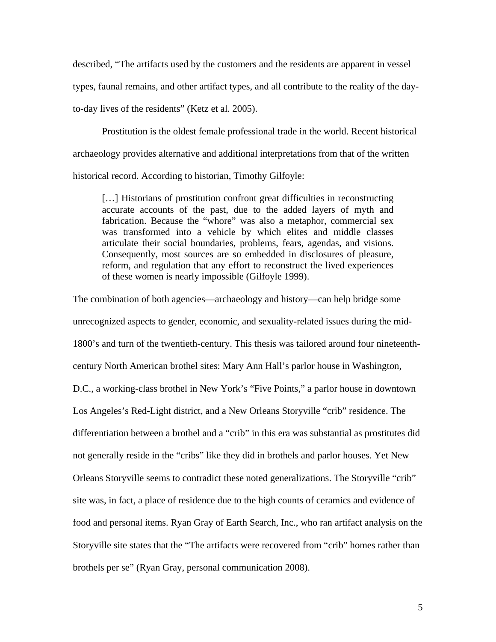described, "The artifacts used by the customers and the residents are apparent in vessel types, faunal remains, and other artifact types, and all contribute to the reality of the dayto-day lives of the residents" (Ketz et al. 2005).

Prostitution is the oldest female professional trade in the world. Recent historical archaeology provides alternative and additional interpretations from that of the written historical record. According to historian, Timothy Gilfoyle:

[...] Historians of prostitution confront great difficulties in reconstructing accurate accounts of the past, due to the added layers of myth and fabrication. Because the "whore" was also a metaphor, commercial sex was transformed into a vehicle by which elites and middle classes articulate their social boundaries, problems, fears, agendas, and visions. Consequently, most sources are so embedded in disclosures of pleasure, reform, and regulation that any effort to reconstruct the lived experiences of these women is nearly impossible (Gilfoyle 1999).

The combination of both agencies—archaeology and history—can help bridge some unrecognized aspects to gender, economic, and sexuality-related issues during the mid-1800's and turn of the twentieth-century. This thesis was tailored around four nineteenthcentury North American brothel sites: Mary Ann Hall's parlor house in Washington, D.C., a working-class brothel in New York's "Five Points," a parlor house in downtown Los Angeles's Red-Light district, and a New Orleans Storyville "crib" residence. The differentiation between a brothel and a "crib" in this era was substantial as prostitutes did not generally reside in the "cribs" like they did in brothels and parlor houses. Yet New Orleans Storyville seems to contradict these noted generalizations. The Storyville "crib" site was, in fact, a place of residence due to the high counts of ceramics and evidence of food and personal items. Ryan Gray of Earth Search, Inc., who ran artifact analysis on the Storyville site states that the "The artifacts were recovered from "crib" homes rather than brothels per se" (Ryan Gray, personal communication 2008).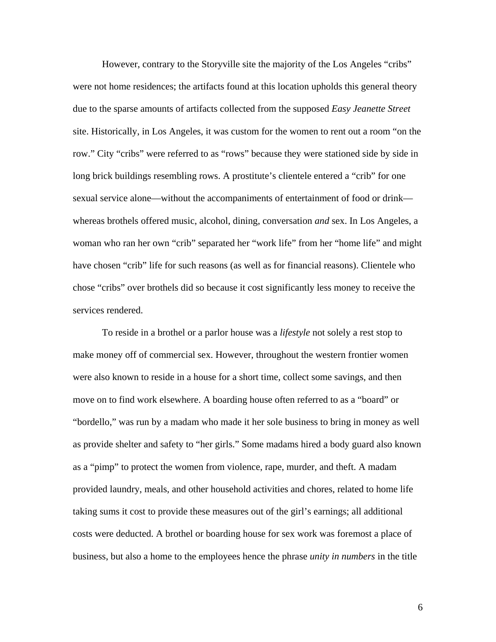However, contrary to the Storyville site the majority of the Los Angeles "cribs" were not home residences; the artifacts found at this location upholds this general theory due to the sparse amounts of artifacts collected from the supposed *Easy Jeanette Street* site. Historically, in Los Angeles, it was custom for the women to rent out a room "on the row." City "cribs" were referred to as "rows" because they were stationed side by side in long brick buildings resembling rows. A prostitute's clientele entered a "crib" for one sexual service alone—without the accompaniments of entertainment of food or drink whereas brothels offered music, alcohol, dining, conversation *and* sex. In Los Angeles, a woman who ran her own "crib" separated her "work life" from her "home life" and might have chosen "crib" life for such reasons (as well as for financial reasons). Clientele who chose "cribs" over brothels did so because it cost significantly less money to receive the services rendered.

To reside in a brothel or a parlor house was a *lifestyle* not solely a rest stop to make money off of commercial sex. However, throughout the western frontier women were also known to reside in a house for a short time, collect some savings, and then move on to find work elsewhere. A boarding house often referred to as a "board" or "bordello," was run by a madam who made it her sole business to bring in money as well as provide shelter and safety to "her girls." Some madams hired a body guard also known as a "pimp" to protect the women from violence, rape, murder, and theft. A madam provided laundry, meals, and other household activities and chores, related to home life taking sums it cost to provide these measures out of the girl's earnings; all additional costs were deducted. A brothel or boarding house for sex work was foremost a place of business, but also a home to the employees hence the phrase *unity in numbers* in the title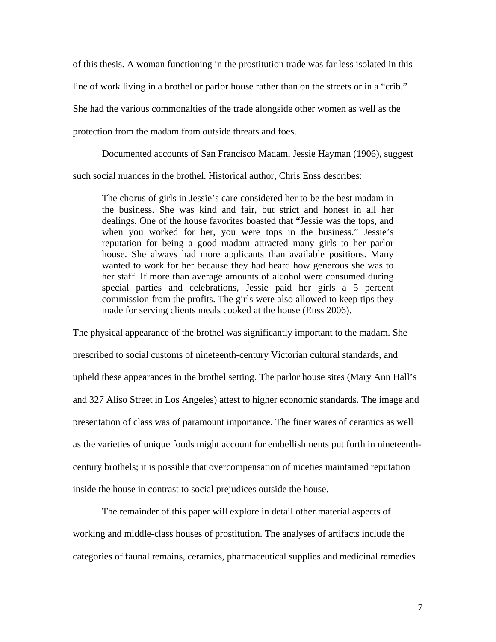of this thesis. A woman functioning in the prostitution trade was far less isolated in this line of work living in a brothel or parlor house rather than on the streets or in a "crib." She had the various commonalties of the trade alongside other women as well as the protection from the madam from outside threats and foes.

Documented accounts of San Francisco Madam, Jessie Hayman (1906), suggest such social nuances in the brothel. Historical author, Chris Enss describes:

The chorus of girls in Jessie's care considered her to be the best madam in the business. She was kind and fair, but strict and honest in all her dealings. One of the house favorites boasted that "Jessie was the tops, and when you worked for her, you were tops in the business." Jessie's reputation for being a good madam attracted many girls to her parlor house. She always had more applicants than available positions. Many wanted to work for her because they had heard how generous she was to her staff. If more than average amounts of alcohol were consumed during special parties and celebrations, Jessie paid her girls a 5 percent commission from the profits. The girls were also allowed to keep tips they made for serving clients meals cooked at the house (Enss 2006).

The physical appearance of the brothel was significantly important to the madam. She prescribed to social customs of nineteenth-century Victorian cultural standards, and upheld these appearances in the brothel setting. The parlor house sites (Mary Ann Hall's and 327 Aliso Street in Los Angeles) attest to higher economic standards. The image and presentation of class was of paramount importance. The finer wares of ceramics as well as the varieties of unique foods might account for embellishments put forth in nineteenthcentury brothels; it is possible that overcompensation of niceties maintained reputation inside the house in contrast to social prejudices outside the house.

The remainder of this paper will explore in detail other material aspects of working and middle-class houses of prostitution. The analyses of artifacts include the categories of faunal remains, ceramics, pharmaceutical supplies and medicinal remedies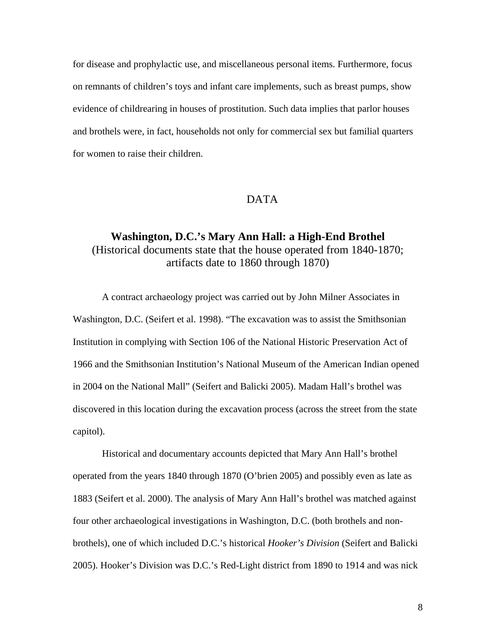for disease and prophylactic use, and miscellaneous personal items. Furthermore, focus on remnants of children's toys and infant care implements, such as breast pumps, show evidence of childrearing in houses of prostitution. Such data implies that parlor houses and brothels were, in fact, households not only for commercial sex but familial quarters for women to raise their children.

# DATA

# **Washington, D.C.'s Mary Ann Hall: a High-End Brothel**  (Historical documents state that the house operated from 1840-1870; artifacts date to 1860 through 1870)

A contract archaeology project was carried out by John Milner Associates in Washington, D.C. (Seifert et al. 1998). "The excavation was to assist the Smithsonian Institution in complying with Section 106 of the National Historic Preservation Act of 1966 and the Smithsonian Institution's National Museum of the American Indian opened in 2004 on the National Mall" (Seifert and Balicki 2005). Madam Hall's brothel was discovered in this location during the excavation process (across the street from the state capitol).

 Historical and documentary accounts depicted that Mary Ann Hall's brothel operated from the years 1840 through 1870 (O'brien 2005) and possibly even as late as 1883 (Seifert et al. 2000). The analysis of Mary Ann Hall's brothel was matched against four other archaeological investigations in Washington, D.C. (both brothels and nonbrothels), one of which included D.C.'s historical *Hooker's Division* (Seifert and Balicki 2005). Hooker's Division was D.C.'s Red-Light district from 1890 to 1914 and was nick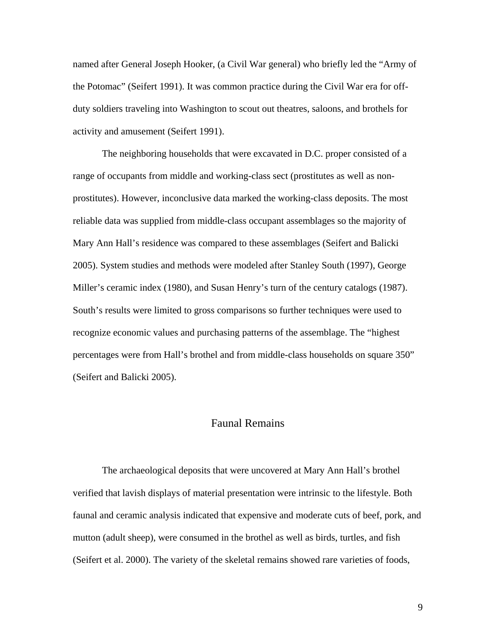named after General Joseph Hooker, (a Civil War general) who briefly led the "Army of the Potomac" (Seifert 1991). It was common practice during the Civil War era for offduty soldiers traveling into Washington to scout out theatres, saloons, and brothels for activity and amusement (Seifert 1991).

The neighboring households that were excavated in D.C. proper consisted of a range of occupants from middle and working-class sect (prostitutes as well as nonprostitutes). However, inconclusive data marked the working-class deposits. The most reliable data was supplied from middle-class occupant assemblages so the majority of Mary Ann Hall's residence was compared to these assemblages (Seifert and Balicki 2005). System studies and methods were modeled after Stanley South (1997), George Miller's ceramic index (1980), and Susan Henry's turn of the century catalogs (1987). South's results were limited to gross comparisons so further techniques were used to recognize economic values and purchasing patterns of the assemblage. The "highest percentages were from Hall's brothel and from middle-class households on square 350" (Seifert and Balicki 2005).

# Faunal Remains

The archaeological deposits that were uncovered at Mary Ann Hall's brothel verified that lavish displays of material presentation were intrinsic to the lifestyle. Both faunal and ceramic analysis indicated that expensive and moderate cuts of beef, pork, and mutton (adult sheep), were consumed in the brothel as well as birds, turtles, and fish (Seifert et al. 2000). The variety of the skeletal remains showed rare varieties of foods,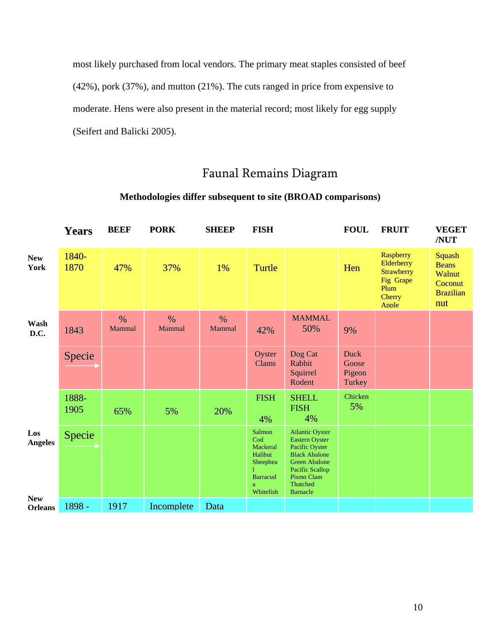most likely purchased from local vendors. The primary meat staples consisted of beef (42%), pork (37%), and mutton (21%). The cuts ranged in price from expensive to moderate. Hens were also present in the material record; most likely for egg supply (Seifert and Balicki 2005).

# Faunal Remains Diagram

|                              | <b>Years</b>  | <b>BEEF</b>    | <b>PORK</b>             | <b>SHEEP</b>   | <b>FISH</b>                                                                           |                                                                                                                                                                                   | <b>FOUL</b>                              | <b>FRUIT</b>                                                                                | <b>VEGET</b><br>/NUT                                                          |
|------------------------------|---------------|----------------|-------------------------|----------------|---------------------------------------------------------------------------------------|-----------------------------------------------------------------------------------------------------------------------------------------------------------------------------------|------------------------------------------|---------------------------------------------------------------------------------------------|-------------------------------------------------------------------------------|
| <b>New</b><br>York           | 1840-<br>1870 | 47%            | 37%                     | 1%             | Turtle                                                                                |                                                                                                                                                                                   | Hen                                      | Raspberry<br>Elderberry<br><b>Strawberry</b><br>Fig Grape<br>Plum<br><b>Cherry</b><br>Apple | <b>Squash</b><br><b>Beans</b><br>Walnut<br>Coconut<br><b>Brazilian</b><br>nut |
| Wash<br>D.C.                 | 1843          | $\%$<br>Mammal | $\frac{0}{0}$<br>Mammal | $\%$<br>Mammal | 42%                                                                                   | <b>MAMMAL</b><br>50%                                                                                                                                                              | 9%                                       |                                                                                             |                                                                               |
|                              | Specie        |                |                         |                | Oyster<br>Clams                                                                       | Dog Cat<br>Rabbit<br>Squirrel<br>Rodent                                                                                                                                           | <b>Duck</b><br>Goose<br>Pigeon<br>Turkey |                                                                                             |                                                                               |
|                              | 1888-<br>1905 | 65%            | 5%                      | 20%            | <b>FISH</b><br>4%                                                                     | <b>SHELL</b><br><b>FISH</b><br>4%                                                                                                                                                 | Chicken<br>5%                            |                                                                                             |                                                                               |
| Los<br><b>Angeles</b>        | Specie        |                |                         |                | Salmon<br>Cod<br>Mackeral<br>Halibut<br>Sheephea<br><b>Barracud</b><br>a<br>Whitefish | <b>Atlantic Oyster</b><br><b>Eastern Oyster</b><br>Pacific Oyster<br><b>Black Abalone</b><br><b>Green Abalone</b><br>Pacific Scallop<br>Pismo Clam<br>Thatched<br><b>Barnacle</b> |                                          |                                                                                             |                                                                               |
| <b>New</b><br><b>Orleans</b> | 1898 -        | 1917           | Incomplete              | Data           |                                                                                       |                                                                                                                                                                                   |                                          |                                                                                             |                                                                               |

# **Methodologies differ subsequent to site (BROAD comparisons)**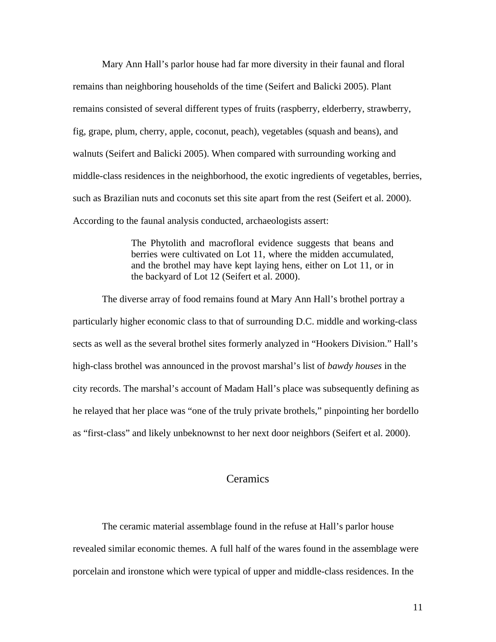Mary Ann Hall's parlor house had far more diversity in their faunal and floral remains than neighboring households of the time (Seifert and Balicki 2005). Plant remains consisted of several different types of fruits (raspberry, elderberry, strawberry, fig, grape, plum, cherry, apple, coconut, peach), vegetables (squash and beans), and walnuts (Seifert and Balicki 2005). When compared with surrounding working and middle-class residences in the neighborhood, the exotic ingredients of vegetables, berries, such as Brazilian nuts and coconuts set this site apart from the rest (Seifert et al. 2000). According to the faunal analysis conducted, archaeologists assert:

> The Phytolith and macrofloral evidence suggests that beans and berries were cultivated on Lot 11, where the midden accumulated, and the brothel may have kept laying hens, either on Lot 11, or in the backyard of Lot 12 (Seifert et al. 2000).

 The diverse array of food remains found at Mary Ann Hall's brothel portray a particularly higher economic class to that of surrounding D.C. middle and working-class sects as well as the several brothel sites formerly analyzed in "Hookers Division." Hall's high-class brothel was announced in the provost marshal's list of *bawdy houses* in the city records. The marshal's account of Madam Hall's place was subsequently defining as he relayed that her place was "one of the truly private brothels," pinpointing her bordello as "first-class" and likely unbeknownst to her next door neighbors (Seifert et al. 2000).

# **Ceramics**

The ceramic material assemblage found in the refuse at Hall's parlor house revealed similar economic themes. A full half of the wares found in the assemblage were porcelain and ironstone which were typical of upper and middle-class residences. In the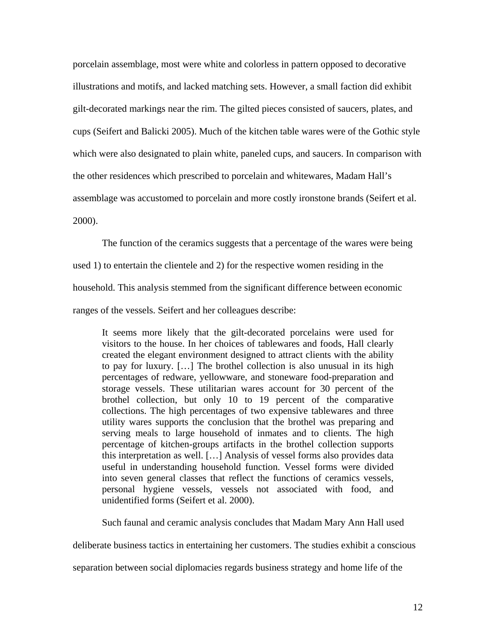porcelain assemblage, most were white and colorless in pattern opposed to decorative illustrations and motifs, and lacked matching sets. However, a small faction did exhibit gilt-decorated markings near the rim. The gilted pieces consisted of saucers, plates, and cups (Seifert and Balicki 2005). Much of the kitchen table wares were of the Gothic style which were also designated to plain white, paneled cups, and saucers. In comparison with the other residences which prescribed to porcelain and whitewares, Madam Hall's assemblage was accustomed to porcelain and more costly ironstone brands (Seifert et al. 2000).

The function of the ceramics suggests that a percentage of the wares were being

used 1) to entertain the clientele and 2) for the respective women residing in the

household. This analysis stemmed from the significant difference between economic

ranges of the vessels. Seifert and her colleagues describe:

It seems more likely that the gilt-decorated porcelains were used for visitors to the house. In her choices of tablewares and foods, Hall clearly created the elegant environment designed to attract clients with the ability to pay for luxury. […] The brothel collection is also unusual in its high percentages of redware, yellowware, and stoneware food-preparation and storage vessels. These utilitarian wares account for 30 percent of the brothel collection, but only 10 to 19 percent of the comparative collections. The high percentages of two expensive tablewares and three utility wares supports the conclusion that the brothel was preparing and serving meals to large household of inmates and to clients. The high percentage of kitchen-groups artifacts in the brothel collection supports this interpretation as well. […] Analysis of vessel forms also provides data useful in understanding household function. Vessel forms were divided into seven general classes that reflect the functions of ceramics vessels, personal hygiene vessels, vessels not associated with food, and unidentified forms (Seifert et al. 2000).

Such faunal and ceramic analysis concludes that Madam Mary Ann Hall used

deliberate business tactics in entertaining her customers. The studies exhibit a conscious

separation between social diplomacies regards business strategy and home life of the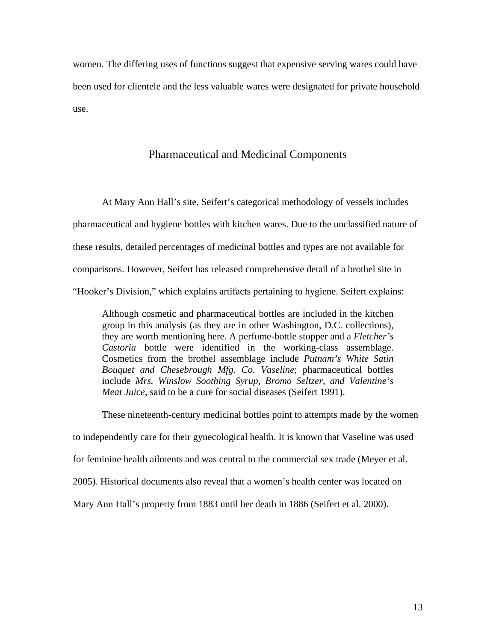women. The differing uses of functions suggest that expensive serving wares could have been used for clientele and the less valuable wares were designated for private household use.

# Pharmaceutical and Medicinal Components

At Mary Ann Hall's site, Seifert's categorical methodology of vessels includes pharmaceutical and hygiene bottles with kitchen wares. Due to the unclassified nature of these results, detailed percentages of medicinal bottles and types are not available for comparisons. However, Seifert has released comprehensive detail of a brothel site in "Hooker's Division," which explains artifacts pertaining to hygiene. Seifert explains:

Although cosmetic and pharmaceutical bottles are included in the kitchen group in this analysis (as they are in other Washington, D.C. collections), they are worth mentioning here. A perfume-bottle stopper and a *Fletcher's Castoria* bottle were identified in the working-class assemblage. Cosmetics from the brothel assemblage include *Putnam's White Satin Bouquet and Chesebrough Mfg. Co. Vaseline*; pharmaceutical bottles include *Mrs. Winslow Soothing Syrup, Bromo Seltzer, and Valentine's Meat Juice*, said to be a cure for social diseases (Seifert 1991).

These nineteenth-century medicinal bottles point to attempts made by the women to independently care for their gynecological health. It is known that Vaseline was used for feminine health ailments and was central to the commercial sex trade (Meyer et al. 2005). Historical documents also reveal that a women's health center was located on Mary Ann Hall's property from 1883 until her death in 1886 (Seifert et al. 2000).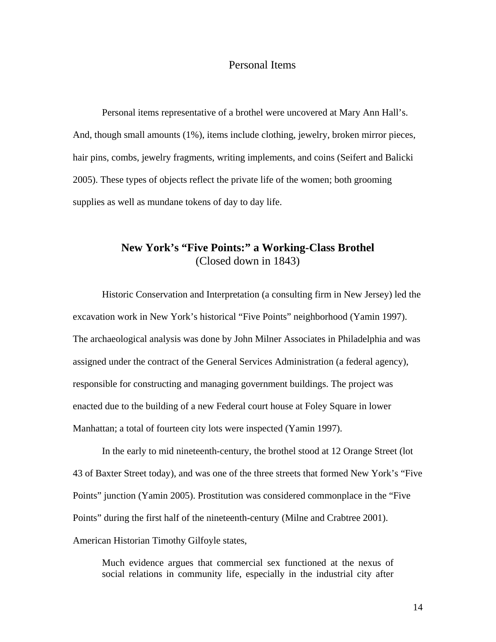# Personal Items

Personal items representative of a brothel were uncovered at Mary Ann Hall's. And, though small amounts (1%), items include clothing, jewelry, broken mirror pieces, hair pins, combs, jewelry fragments, writing implements, and coins (Seifert and Balicki 2005). These types of objects reflect the private life of the women; both grooming supplies as well as mundane tokens of day to day life.

# **New York's "Five Points:" a Working-Class Brothel**  (Closed down in 1843)

 Historic Conservation and Interpretation (a consulting firm in New Jersey) led the excavation work in New York's historical "Five Points" neighborhood (Yamin 1997). The archaeological analysis was done by John Milner Associates in Philadelphia and was assigned under the contract of the General Services Administration (a federal agency), responsible for constructing and managing government buildings. The project was enacted due to the building of a new Federal court house at Foley Square in lower Manhattan; a total of fourteen city lots were inspected (Yamin 1997).

In the early to mid nineteenth-century, the brothel stood at 12 Orange Street (lot 43 of Baxter Street today), and was one of the three streets that formed New York's "Five Points" junction (Yamin 2005). Prostitution was considered commonplace in the "Five Points" during the first half of the nineteenth-century (Milne and Crabtree 2001). American Historian Timothy Gilfoyle states,

Much evidence argues that commercial sex functioned at the nexus of social relations in community life, especially in the industrial city after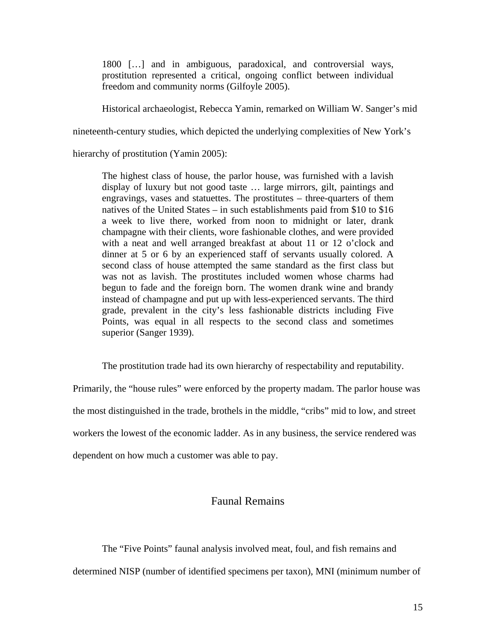1800 […] and in ambiguous, paradoxical, and controversial ways, prostitution represented a critical, ongoing conflict between individual freedom and community norms (Gilfoyle 2005).

Historical archaeologist, Rebecca Yamin, remarked on William W. Sanger's mid

nineteenth-century studies, which depicted the underlying complexities of New York's

hierarchy of prostitution (Yamin 2005):

The highest class of house, the parlor house, was furnished with a lavish display of luxury but not good taste … large mirrors, gilt, paintings and engravings, vases and statuettes. The prostitutes – three-quarters of them natives of the United States – in such establishments paid from \$10 to \$16 a week to live there, worked from noon to midnight or later, drank champagne with their clients, wore fashionable clothes, and were provided with a neat and well arranged breakfast at about 11 or 12 o'clock and dinner at 5 or 6 by an experienced staff of servants usually colored. A second class of house attempted the same standard as the first class but was not as lavish. The prostitutes included women whose charms had begun to fade and the foreign born. The women drank wine and brandy instead of champagne and put up with less-experienced servants. The third grade, prevalent in the city's less fashionable districts including Five Points, was equal in all respects to the second class and sometimes superior (Sanger 1939).

The prostitution trade had its own hierarchy of respectability and reputability.

Primarily, the "house rules" were enforced by the property madam. The parlor house was the most distinguished in the trade, brothels in the middle, "cribs" mid to low, and street workers the lowest of the economic ladder. As in any business, the service rendered was dependent on how much a customer was able to pay.

# Faunal Remains

The "Five Points" faunal analysis involved meat, foul, and fish remains and determined NISP (number of identified specimens per taxon), MNI (minimum number of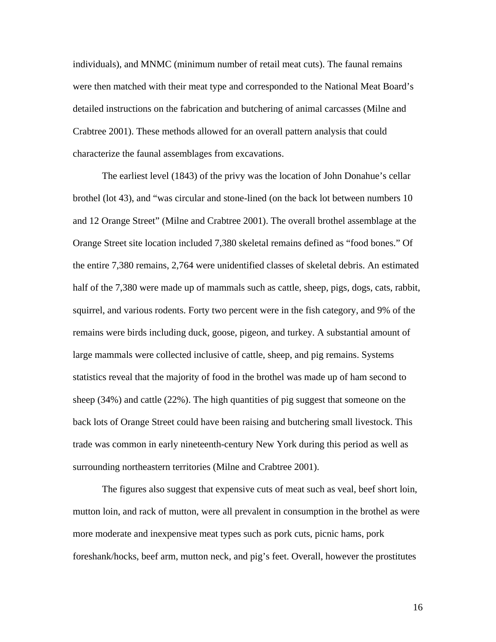individuals), and MNMC (minimum number of retail meat cuts). The faunal remains were then matched with their meat type and corresponded to the National Meat Board's detailed instructions on the fabrication and butchering of animal carcasses (Milne and Crabtree 2001). These methods allowed for an overall pattern analysis that could characterize the faunal assemblages from excavations.

 The earliest level (1843) of the privy was the location of John Donahue's cellar brothel (lot 43), and "was circular and stone-lined (on the back lot between numbers 10 and 12 Orange Street" (Milne and Crabtree 2001). The overall brothel assemblage at the Orange Street site location included 7,380 skeletal remains defined as "food bones." Of the entire 7,380 remains, 2,764 were unidentified classes of skeletal debris. An estimated half of the 7,380 were made up of mammals such as cattle, sheep, pigs, dogs, cats, rabbit, squirrel, and various rodents. Forty two percent were in the fish category, and 9% of the remains were birds including duck, goose, pigeon, and turkey. A substantial amount of large mammals were collected inclusive of cattle, sheep, and pig remains. Systems statistics reveal that the majority of food in the brothel was made up of ham second to sheep (34%) and cattle (22%). The high quantities of pig suggest that someone on the back lots of Orange Street could have been raising and butchering small livestock. This trade was common in early nineteenth-century New York during this period as well as surrounding northeastern territories (Milne and Crabtree 2001).

The figures also suggest that expensive cuts of meat such as veal, beef short loin, mutton loin, and rack of mutton, were all prevalent in consumption in the brothel as were more moderate and inexpensive meat types such as pork cuts, picnic hams, pork foreshank/hocks, beef arm, mutton neck, and pig's feet. Overall, however the prostitutes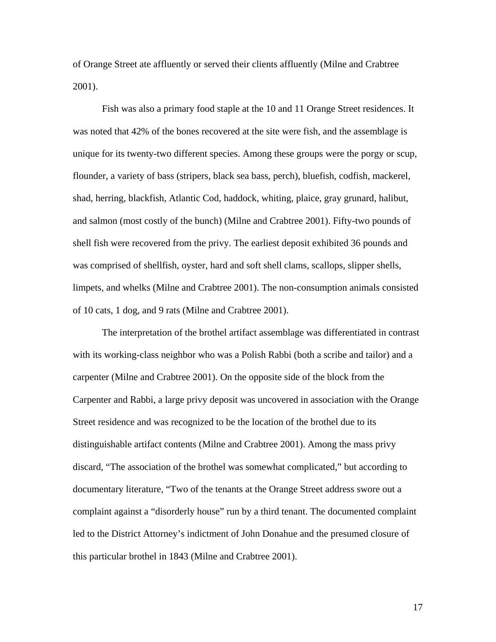of Orange Street ate affluently or served their clients affluently (Milne and Crabtree 2001).

Fish was also a primary food staple at the 10 and 11 Orange Street residences. It was noted that 42% of the bones recovered at the site were fish, and the assemblage is unique for its twenty-two different species. Among these groups were the porgy or scup, flounder, a variety of bass (stripers, black sea bass, perch), bluefish, codfish, mackerel, shad, herring, blackfish, Atlantic Cod, haddock, whiting, plaice, gray grunard, halibut, and salmon (most costly of the bunch) (Milne and Crabtree 2001). Fifty-two pounds of shell fish were recovered from the privy. The earliest deposit exhibited 36 pounds and was comprised of shellfish, oyster, hard and soft shell clams, scallops, slipper shells, limpets, and whelks (Milne and Crabtree 2001). The non-consumption animals consisted of 10 cats, 1 dog, and 9 rats (Milne and Crabtree 2001).

The interpretation of the brothel artifact assemblage was differentiated in contrast with its working-class neighbor who was a Polish Rabbi (both a scribe and tailor) and a carpenter (Milne and Crabtree 2001). On the opposite side of the block from the Carpenter and Rabbi, a large privy deposit was uncovered in association with the Orange Street residence and was recognized to be the location of the brothel due to its distinguishable artifact contents (Milne and Crabtree 2001). Among the mass privy discard, "The association of the brothel was somewhat complicated," but according to documentary literature, "Two of the tenants at the Orange Street address swore out a complaint against a "disorderly house" run by a third tenant. The documented complaint led to the District Attorney's indictment of John Donahue and the presumed closure of this particular brothel in 1843 (Milne and Crabtree 2001).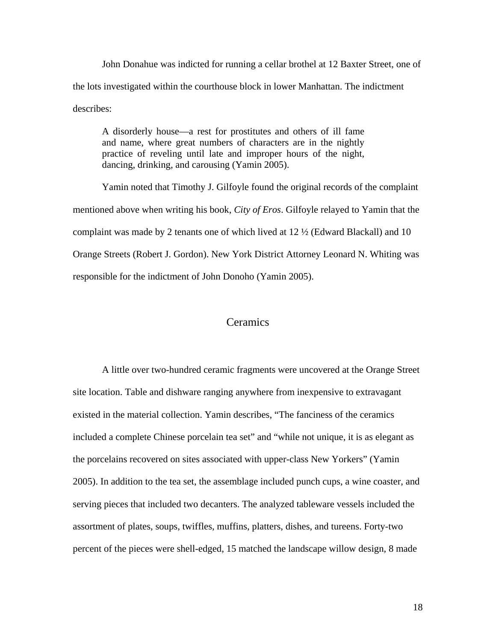John Donahue was indicted for running a cellar brothel at 12 Baxter Street, one of the lots investigated within the courthouse block in lower Manhattan. The indictment describes:

A disorderly house—a rest for prostitutes and others of ill fame and name, where great numbers of characters are in the nightly practice of reveling until late and improper hours of the night, dancing, drinking, and carousing (Yamin 2005).

 Yamin noted that Timothy J. Gilfoyle found the original records of the complaint mentioned above when writing his book, *City of Eros*. Gilfoyle relayed to Yamin that the complaint was made by 2 tenants one of which lived at 12 ½ (Edward Blackall) and 10 Orange Streets (Robert J. Gordon). New York District Attorney Leonard N. Whiting was responsible for the indictment of John Donoho (Yamin 2005).

## **Ceramics**

A little over two-hundred ceramic fragments were uncovered at the Orange Street site location. Table and dishware ranging anywhere from inexpensive to extravagant existed in the material collection. Yamin describes, "The fanciness of the ceramics included a complete Chinese porcelain tea set" and "while not unique, it is as elegant as the porcelains recovered on sites associated with upper-class New Yorkers" (Yamin 2005). In addition to the tea set, the assemblage included punch cups, a wine coaster, and serving pieces that included two decanters. The analyzed tableware vessels included the assortment of plates, soups, twiffles, muffins, platters, dishes, and tureens. Forty-two percent of the pieces were shell-edged, 15 matched the landscape willow design, 8 made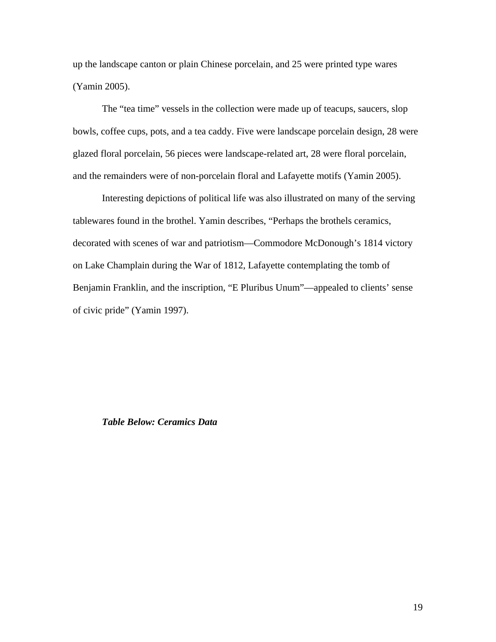up the landscape canton or plain Chinese porcelain, and 25 were printed type wares (Yamin 2005).

The "tea time" vessels in the collection were made up of teacups, saucers, slop bowls, coffee cups, pots, and a tea caddy. Five were landscape porcelain design, 28 were glazed floral porcelain, 56 pieces were landscape-related art, 28 were floral porcelain, and the remainders were of non-porcelain floral and Lafayette motifs (Yamin 2005).

Interesting depictions of political life was also illustrated on many of the serving tablewares found in the brothel. Yamin describes, "Perhaps the brothels ceramics, decorated with scenes of war and patriotism—Commodore McDonough's 1814 victory on Lake Champlain during the War of 1812, Lafayette contemplating the tomb of Benjamin Franklin, and the inscription, "E Pluribus Unum"—appealed to clients' sense of civic pride" (Yamin 1997).

### *Table Below: Ceramics Data*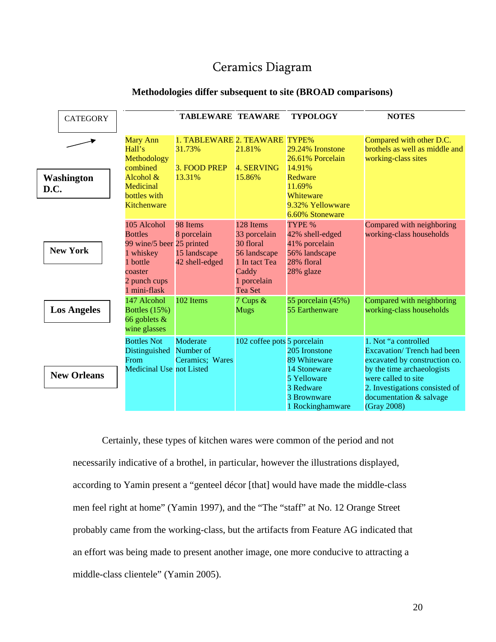# Ceramics Diagram

|      | <b>CATEGORY</b>    |                                                                                                                                | <b>TABLEWARE TEAWARE</b>                                          |                                                                                                            | <b>TYPOLOGY</b>                                                                        | <b>NOTES</b>                                                                                                      |
|------|--------------------|--------------------------------------------------------------------------------------------------------------------------------|-------------------------------------------------------------------|------------------------------------------------------------------------------------------------------------|----------------------------------------------------------------------------------------|-------------------------------------------------------------------------------------------------------------------|
|      |                    | <b>Mary Ann</b><br>Hall's<br>Methodology<br>combined<br>Alcohol &                                                              | 1. TABLEWARE 2. TEAWARE TYPE%<br>31.73%<br>3. FOOD PREP<br>13.31% | 21.81%<br><b>4. SERVING</b><br>15.86%                                                                      | 29.24% Ironstone<br>26.61% Porcelain<br>14.91%<br>Redware                              | Compared with other D.C.<br>brothels as well as middle and<br>working-class sites                                 |
| D.C. | <b>Washington</b>  | Medicinal<br>bottles with<br>Kitchenware                                                                                       |                                                                   |                                                                                                            | 11.69%<br>Whiteware<br>9.32% Yellowware<br>6.60% Stoneware                             |                                                                                                                   |
|      | <b>New York</b>    | 105 Alcohol<br><b>Bottles</b><br>99 wine/5 beer 25 printed<br>1 whiskey<br>1 bottle<br>coaster<br>2 punch cups<br>1 mini-flask | 98 Items<br>8 porcelain<br>15 landscape<br>42 shell-edged         | 128 Items<br>33 porcelain<br>30 floral<br>56 landscape<br>1 In tact Tea<br>Caddy<br>1 porcelain<br>Tea Set | TYPE %<br>42% shell-edged<br>41% porcelain<br>56% landscape<br>28% floral<br>28% glaze | Compared with neighboring<br>working-class households                                                             |
|      | <b>Los Angeles</b> | 147 Alcohol<br>Bottles $(15%)$<br>66 goblets $\&$<br>wine glasses                                                              | 102 Items                                                         | 7 Cups &<br><b>Mugs</b>                                                                                    | 55 porcelain (45%)<br>55 Earthenware                                                   | Compared with neighboring<br>working-class households                                                             |
|      |                    | <b>Bottles Not</b><br>Distinguished<br>From<br>Medicinal Use not Listed                                                        | Moderate<br>Number of<br>Ceramics; Wares                          | 102 coffee pots 5 porcelain                                                                                | 205 Ironstone<br>89 Whiteware<br>14 Stoneware                                          | 1. Not "a controlled<br>Excavation/Trench had been<br>excavated by construction co.<br>by the time archaeologists |
|      | <b>New Orleans</b> |                                                                                                                                |                                                                   |                                                                                                            | 5 Yelloware<br>3 Redware<br>3 Brownware<br>1 Rockinghamware                            | were called to site<br>2. Investigations consisted of<br>documentation & salvage<br>(Gray 2008)                   |

### **Methodologies differ subsequent to site (BROAD comparisons)**

Certainly, these types of kitchen wares were common of the period and not necessarily indicative of a brothel, in particular, however the illustrations displayed, according to Yamin present a "genteel décor [that] would have made the middle-class men feel right at home" (Yamin 1997), and the "The "staff" at No. 12 Orange Street probably came from the working-class, but the artifacts from Feature AG indicated that an effort was being made to present another image, one more conducive to attracting a middle-class clientele" (Yamin 2005).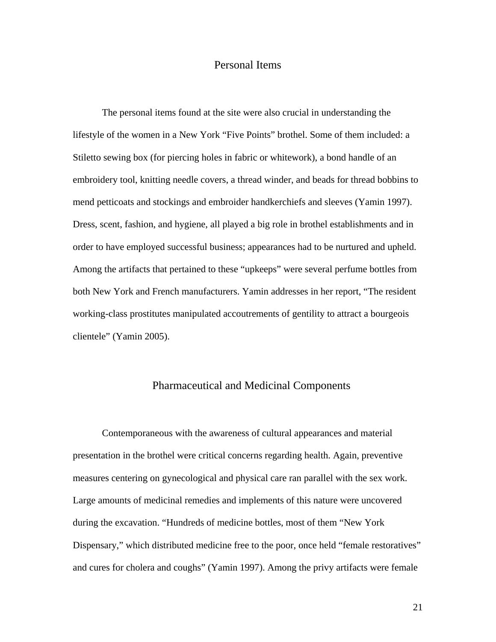# Personal Items

The personal items found at the site were also crucial in understanding the lifestyle of the women in a New York "Five Points" brothel. Some of them included: a Stiletto sewing box (for piercing holes in fabric or whitework), a bond handle of an embroidery tool, knitting needle covers, a thread winder, and beads for thread bobbins to mend petticoats and stockings and embroider handkerchiefs and sleeves (Yamin 1997). Dress, scent, fashion, and hygiene, all played a big role in brothel establishments and in order to have employed successful business; appearances had to be nurtured and upheld. Among the artifacts that pertained to these "upkeeps" were several perfume bottles from both New York and French manufacturers. Yamin addresses in her report, "The resident working-class prostitutes manipulated accoutrements of gentility to attract a bourgeois clientele" (Yamin 2005).

### Pharmaceutical and Medicinal Components

Contemporaneous with the awareness of cultural appearances and material presentation in the brothel were critical concerns regarding health. Again, preventive measures centering on gynecological and physical care ran parallel with the sex work. Large amounts of medicinal remedies and implements of this nature were uncovered during the excavation. "Hundreds of medicine bottles, most of them "New York Dispensary," which distributed medicine free to the poor, once held "female restoratives" and cures for cholera and coughs" (Yamin 1997). Among the privy artifacts were female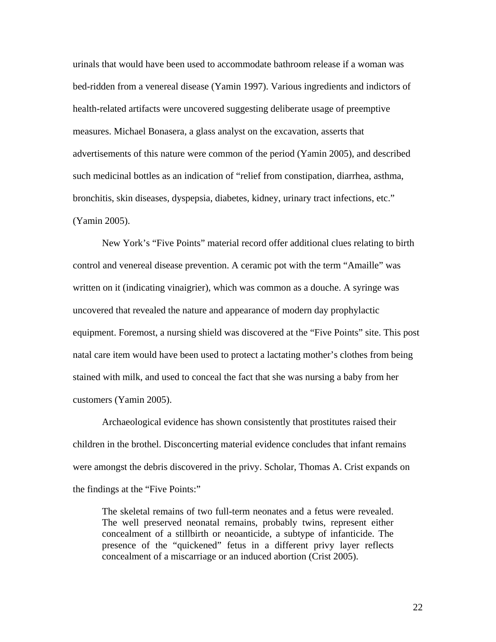urinals that would have been used to accommodate bathroom release if a woman was bed-ridden from a venereal disease (Yamin 1997). Various ingredients and indictors of health-related artifacts were uncovered suggesting deliberate usage of preemptive measures. Michael Bonasera, a glass analyst on the excavation, asserts that advertisements of this nature were common of the period (Yamin 2005), and described such medicinal bottles as an indication of "relief from constipation, diarrhea, asthma, bronchitis, skin diseases, dyspepsia, diabetes, kidney, urinary tract infections, etc." (Yamin 2005).

New York's "Five Points" material record offer additional clues relating to birth control and venereal disease prevention. A ceramic pot with the term "Amaille" was written on it (indicating vinaigrier), which was common as a douche. A syringe was uncovered that revealed the nature and appearance of modern day prophylactic equipment. Foremost, a nursing shield was discovered at the "Five Points" site. This post natal care item would have been used to protect a lactating mother's clothes from being stained with milk, and used to conceal the fact that she was nursing a baby from her customers (Yamin 2005).

Archaeological evidence has shown consistently that prostitutes raised their children in the brothel. Disconcerting material evidence concludes that infant remains were amongst the debris discovered in the privy. Scholar, Thomas A. Crist expands on the findings at the "Five Points:"

The skeletal remains of two full-term neonates and a fetus were revealed. The well preserved neonatal remains, probably twins, represent either concealment of a stillbirth or neoanticide, a subtype of infanticide. The presence of the "quickened" fetus in a different privy layer reflects concealment of a miscarriage or an induced abortion (Crist 2005).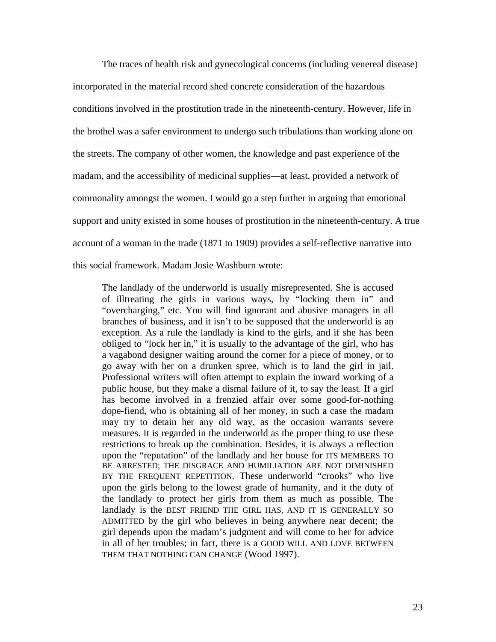The traces of health risk and gynecological concerns (including venereal disease) incorporated in the material record shed concrete consideration of the hazardous conditions involved in the prostitution trade in the nineteenth-century. However, life in the brothel was a safer environment to undergo such tribulations than working alone on the streets. The company of other women, the knowledge and past experience of the madam, and the accessibility of medicinal supplies—at least, provided a network of commonality amongst the women. I would go a step further in arguing that emotional support and unity existed in some houses of prostitution in the nineteenth-century. A true account of a woman in the trade (1871 to 1909) provides a self-reflective narrative into this social framework. Madam Josie Washburn wrote:

The landlady of the underworld is usually misrepresented. She is accused of illtreating the girls in various ways, by "locking them in" and "overcharging," etc. You will find ignorant and abusive managers in all branches of business, and it isn't to be supposed that the underworld is an exception. As a rule the landlady is kind to the girls, and if she has been obliged to "lock her in," it is usually to the advantage of the girl, who has a vagabond designer waiting around the corner for a piece of money, or to go away with her on a drunken spree, which is to land the girl in jail. Professional writers will often attempt to explain the inward working of a public house, but they make a dismal failure of it, to say the least. If a girl has become involved in a frenzied affair over some good-for-nothing dope-fiend, who is obtaining all of her money, in such a case the madam may try to detain her any old way, as the occasion warrants severe measures. It is regarded in the underworld as the proper thing to use these restrictions to break up the combination. Besides, it is always a reflection upon the "reputation" of the landlady and her house for ITS MEMBERS TO BE ARRESTED; THE DISGRACE AND HUMILIATION ARE NOT DIMINISHED BY THE FREQUENT REPETITION. These underworld "crooks" who live upon the girls belong to the lowest grade of humanity, and it the duty of the landlady to protect her girls from them as much as possible. The landlady is the BEST FRIEND THE GIRL HAS, AND IT IS GENERALLY SO ADMITTED by the girl who believes in being anywhere near decent; the girl depends upon the madam's judgment and will come to her for advice in all of her troubles; in fact, there is a GOOD WILL AND LOVE BETWEEN THEM THAT NOTHING CAN CHANGE (Wood 1997).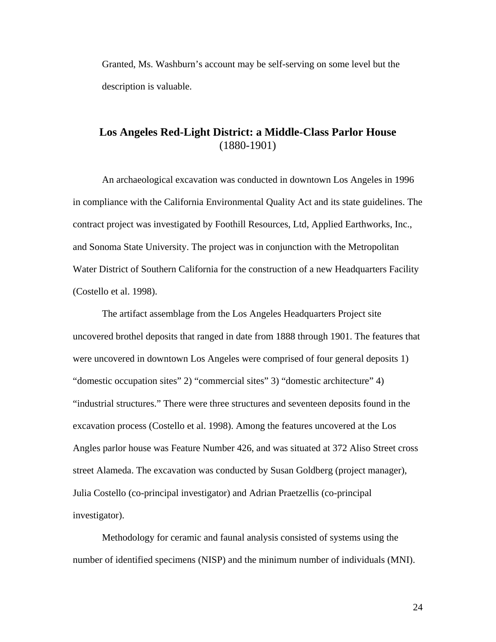Granted, Ms. Washburn's account may be self-serving on some level but the description is valuable.

# **Los Angeles Red-Light District: a Middle-Class Parlor House**  (1880-1901)

An archaeological excavation was conducted in downtown Los Angeles in 1996 in compliance with the California Environmental Quality Act and its state guidelines. The contract project was investigated by Foothill Resources, Ltd, Applied Earthworks, Inc., and Sonoma State University. The project was in conjunction with the Metropolitan Water District of Southern California for the construction of a new Headquarters Facility (Costello et al. 1998).

The artifact assemblage from the Los Angeles Headquarters Project site uncovered brothel deposits that ranged in date from 1888 through 1901. The features that were uncovered in downtown Los Angeles were comprised of four general deposits 1) "domestic occupation sites" 2) "commercial sites" 3) "domestic architecture" 4) "industrial structures." There were three structures and seventeen deposits found in the excavation process (Costello et al. 1998). Among the features uncovered at the Los Angles parlor house was Feature Number 426, and was situated at 372 Aliso Street cross street Alameda. The excavation was conducted by Susan Goldberg (project manager), Julia Costello (co-principal investigator) and Adrian Praetzellis (co-principal investigator).

Methodology for ceramic and faunal analysis consisted of systems using the number of identified specimens (NISP) and the minimum number of individuals (MNI).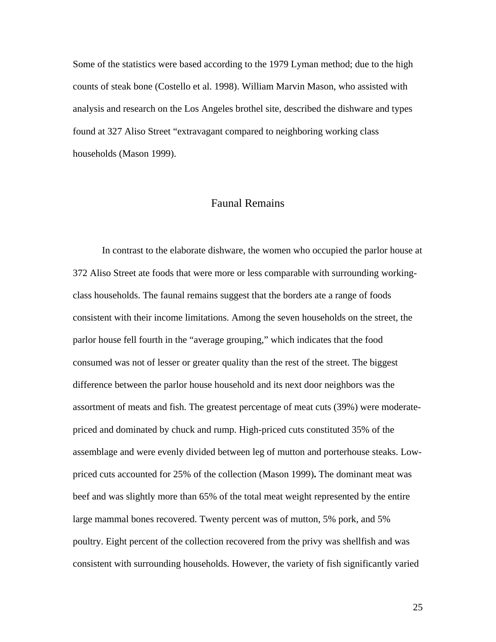Some of the statistics were based according to the 1979 Lyman method; due to the high counts of steak bone (Costello et al. 1998). William Marvin Mason, who assisted with analysis and research on the Los Angeles brothel site, described the dishware and types found at 327 Aliso Street "extravagant compared to neighboring working class households (Mason 1999).

# Faunal Remains

In contrast to the elaborate dishware, the women who occupied the parlor house at 372 Aliso Street ate foods that were more or less comparable with surrounding workingclass households. The faunal remains suggest that the borders ate a range of foods consistent with their income limitations. Among the seven households on the street, the parlor house fell fourth in the "average grouping," which indicates that the food consumed was not of lesser or greater quality than the rest of the street. The biggest difference between the parlor house household and its next door neighbors was the assortment of meats and fish. The greatest percentage of meat cuts (39%) were moderatepriced and dominated by chuck and rump. High-priced cuts constituted 35% of the assemblage and were evenly divided between leg of mutton and porterhouse steaks. Lowpriced cuts accounted for 25% of the collection (Mason 1999)**.** The dominant meat was beef and was slightly more than 65% of the total meat weight represented by the entire large mammal bones recovered. Twenty percent was of mutton, 5% pork, and 5% poultry. Eight percent of the collection recovered from the privy was shellfish and was consistent with surrounding households. However, the variety of fish significantly varied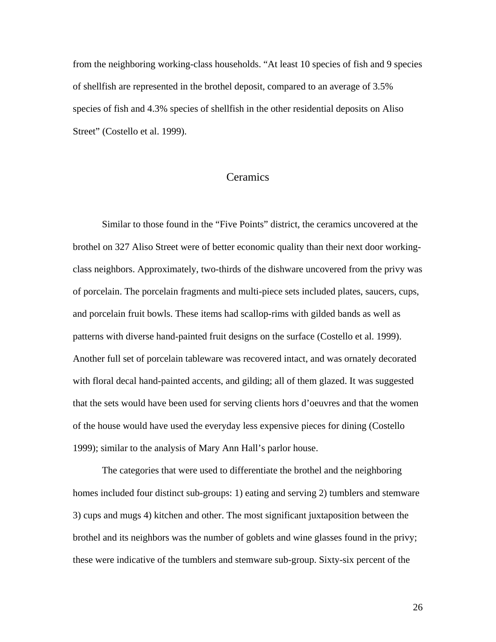from the neighboring working-class households. "At least 10 species of fish and 9 species of shellfish are represented in the brothel deposit, compared to an average of 3.5% species of fish and 4.3% species of shellfish in the other residential deposits on Aliso Street" (Costello et al. 1999).

# **Ceramics**

Similar to those found in the "Five Points" district, the ceramics uncovered at the brothel on 327 Aliso Street were of better economic quality than their next door workingclass neighbors. Approximately, two-thirds of the dishware uncovered from the privy was of porcelain. The porcelain fragments and multi-piece sets included plates, saucers, cups, and porcelain fruit bowls. These items had scallop-rims with gilded bands as well as patterns with diverse hand-painted fruit designs on the surface (Costello et al. 1999). Another full set of porcelain tableware was recovered intact, and was ornately decorated with floral decal hand-painted accents, and gilding; all of them glazed. It was suggested that the sets would have been used for serving clients hors d'oeuvres and that the women of the house would have used the everyday less expensive pieces for dining (Costello 1999); similar to the analysis of Mary Ann Hall's parlor house.

The categories that were used to differentiate the brothel and the neighboring homes included four distinct sub-groups: 1) eating and serving 2) tumblers and stemware 3) cups and mugs 4) kitchen and other. The most significant juxtaposition between the brothel and its neighbors was the number of goblets and wine glasses found in the privy; these were indicative of the tumblers and stemware sub-group. Sixty-six percent of the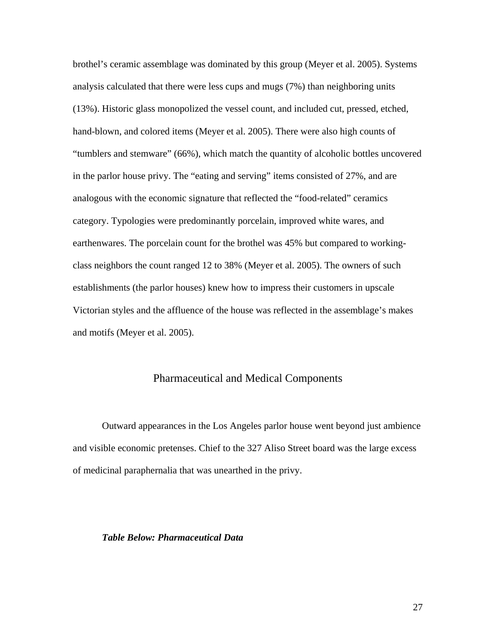brothel's ceramic assemblage was dominated by this group (Meyer et al. 2005). Systems analysis calculated that there were less cups and mugs (7%) than neighboring units (13%). Historic glass monopolized the vessel count, and included cut, pressed, etched, hand-blown, and colored items (Meyer et al. 2005). There were also high counts of "tumblers and stemware" (66%), which match the quantity of alcoholic bottles uncovered in the parlor house privy. The "eating and serving" items consisted of 27%, and are analogous with the economic signature that reflected the "food-related" ceramics category. Typologies were predominantly porcelain, improved white wares, and earthenwares. The porcelain count for the brothel was 45% but compared to workingclass neighbors the count ranged 12 to 38% (Meyer et al. 2005). The owners of such establishments (the parlor houses) knew how to impress their customers in upscale Victorian styles and the affluence of the house was reflected in the assemblage's makes and motifs (Meyer et al. 2005).

### Pharmaceutical and Medical Components

Outward appearances in the Los Angeles parlor house went beyond just ambience and visible economic pretenses. Chief to the 327 Aliso Street board was the large excess of medicinal paraphernalia that was unearthed in the privy.

### *Table Below: Pharmaceutical Data*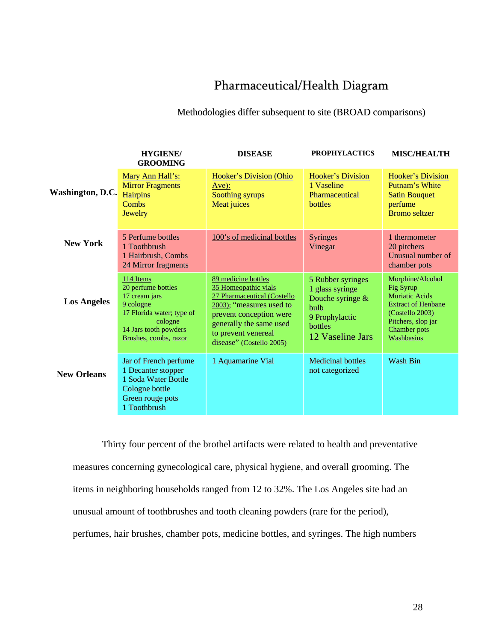# Pharmaceutical/Health Diagram

### Methodologies differ subsequent to site (BROAD comparisons)

|                    | <b>HYGIENE/</b><br><b>GROOMING</b>                                                                                                                      | <b>DISEASE</b>                                                                                                                                                                                                  | <b>PROPHYLACTICS</b>                                                                                              | <b>MISC/HEALTH</b>                                                                                                                                         |
|--------------------|---------------------------------------------------------------------------------------------------------------------------------------------------------|-----------------------------------------------------------------------------------------------------------------------------------------------------------------------------------------------------------------|-------------------------------------------------------------------------------------------------------------------|------------------------------------------------------------------------------------------------------------------------------------------------------------|
| Washington, D.C.   | Mary Ann Hall's:<br><b>Mirror Fragments</b><br><b>Hairpins</b><br>Combs<br>Jewelry                                                                      | <b>Hooker's Division (Ohio</b><br>$Ave$ :<br>Soothing syrups<br><b>Meat juices</b>                                                                                                                              | <b>Hooker's Division</b><br>1 Vaseline<br>Pharmaceutical<br>bottles                                               | <b>Hooker's Division</b><br><b>Putnam's White</b><br><b>Satin Bouquet</b><br>perfume<br><b>Bromo seltzer</b>                                               |
| <b>New York</b>    | 5 Perfume bottles<br>1 Toothbrush<br>1 Hairbrush, Combs<br>24 Mirror fragments                                                                          | 100's of medicinal bottles                                                                                                                                                                                      | <b>Syringes</b><br>Vinegar                                                                                        | 1 thermometer<br>20 pitchers<br>Unusual number of<br>chamber pots                                                                                          |
| <b>Los Angeles</b> | 114 Items<br>20 perfume bottles<br>17 cream jars<br>9 cologne<br>17 Florida water; type of<br>cologne<br>14 Jars tooth powders<br>Brushes, combs, razor | 89 medicine bottles<br>35 Homeopathic vials<br>27 Pharmaceutical (Costello<br>2003); "measures used to<br>prevent conception were<br>generally the same used<br>to prevent venereal<br>disease" (Costello 2005) | 5 Rubber syringes<br>1 glass syringe<br>Douche syringe &<br>bulb<br>9 Prophylactic<br>bottles<br>12 Vaseline Jars | Morphine/Alcohol<br>Fig Syrup<br><b>Muriatic Acids</b><br><b>Extract of Henbane</b><br>(Costello 2003)<br>Pitchers, slop jar<br>Chamber pots<br>Washbasins |
| <b>New Orleans</b> | Jar of French perfume<br>1 Decanter stopper<br>1 Soda Water Bottle<br>Cologne bottle<br>Green rouge pots<br>1 Toothbrush                                | 1 Aquamarine Vial                                                                                                                                                                                               | <b>Medicinal bottles</b><br>not categorized                                                                       | <b>Wash Bin</b>                                                                                                                                            |

Thirty four percent of the brothel artifacts were related to health and preventative measures concerning gynecological care, physical hygiene, and overall grooming. The items in neighboring households ranged from 12 to 32%. The Los Angeles site had an unusual amount of toothbrushes and tooth cleaning powders (rare for the period), perfumes, hair brushes, chamber pots, medicine bottles, and syringes. The high numbers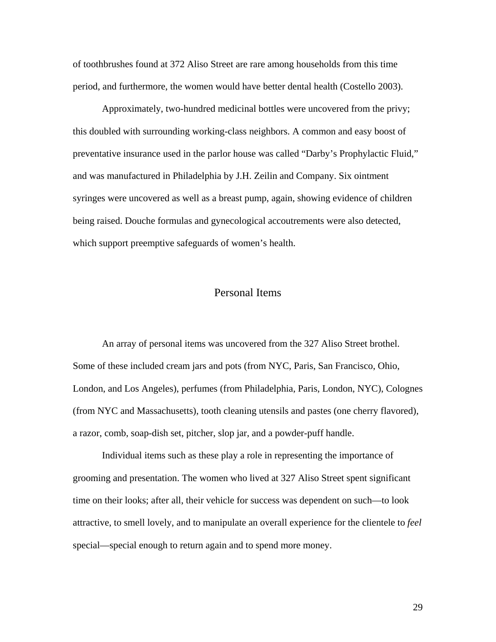of toothbrushes found at 372 Aliso Street are rare among households from this time period, and furthermore, the women would have better dental health (Costello 2003).

Approximately, two-hundred medicinal bottles were uncovered from the privy; this doubled with surrounding working-class neighbors. A common and easy boost of preventative insurance used in the parlor house was called "Darby's Prophylactic Fluid," and was manufactured in Philadelphia by J.H. Zeilin and Company. Six ointment syringes were uncovered as well as a breast pump, again, showing evidence of children being raised. Douche formulas and gynecological accoutrements were also detected, which support preemptive safeguards of women's health.

# Personal Items

An array of personal items was uncovered from the 327 Aliso Street brothel. Some of these included cream jars and pots (from NYC, Paris, San Francisco, Ohio, London, and Los Angeles), perfumes (from Philadelphia, Paris, London, NYC), Colognes (from NYC and Massachusetts), tooth cleaning utensils and pastes (one cherry flavored), a razor, comb, soap-dish set, pitcher, slop jar, and a powder-puff handle.

Individual items such as these play a role in representing the importance of grooming and presentation. The women who lived at 327 Aliso Street spent significant time on their looks; after all, their vehicle for success was dependent on such—to look attractive, to smell lovely, and to manipulate an overall experience for the clientele to *feel* special—special enough to return again and to spend more money.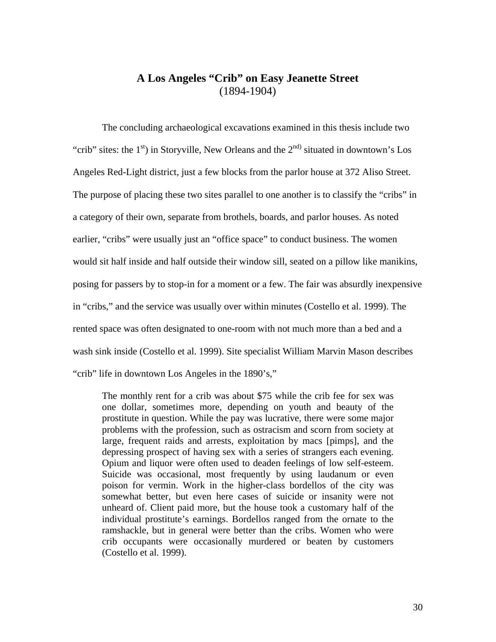# **A Los Angeles "Crib" on Easy Jeanette Street**  (1894-1904)

 The concluding archaeological excavations examined in this thesis include two "crib" sites: the  $1<sup>st</sup>$ ) in Storyville, New Orleans and the  $2<sup>nd</sup>$  situated in downtown's Los Angeles Red-Light district, just a few blocks from the parlor house at 372 Aliso Street. The purpose of placing these two sites parallel to one another is to classify the "cribs" in a category of their own, separate from brothels, boards, and parlor houses. As noted earlier, "cribs" were usually just an "office space" to conduct business. The women would sit half inside and half outside their window sill, seated on a pillow like manikins, posing for passers by to stop-in for a moment or a few. The fair was absurdly inexpensive in "cribs," and the service was usually over within minutes (Costello et al. 1999). The rented space was often designated to one-room with not much more than a bed and a wash sink inside (Costello et al. 1999). Site specialist William Marvin Mason describes "crib" life in downtown Los Angeles in the 1890's,"

The monthly rent for a crib was about \$75 while the crib fee for sex was one dollar, sometimes more, depending on youth and beauty of the prostitute in question. While the pay was lucrative, there were some major problems with the profession, such as ostracism and scorn from society at large, frequent raids and arrests, exploitation by macs [pimps], and the depressing prospect of having sex with a series of strangers each evening. Opium and liquor were often used to deaden feelings of low self-esteem. Suicide was occasional, most frequently by using laudanum or even poison for vermin. Work in the higher-class bordellos of the city was somewhat better, but even here cases of suicide or insanity were not unheard of. Client paid more, but the house took a customary half of the individual prostitute's earnings. Bordellos ranged from the ornate to the ramshackle, but in general were better than the cribs. Women who were crib occupants were occasionally murdered or beaten by customers (Costello et al. 1999).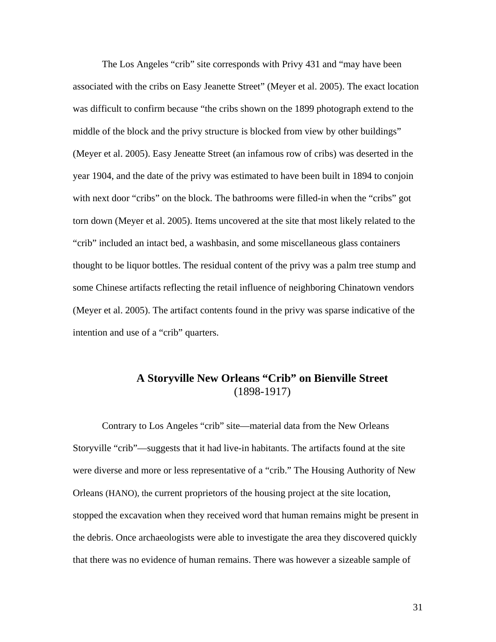The Los Angeles "crib" site corresponds with Privy 431 and "may have been associated with the cribs on Easy Jeanette Street" (Meyer et al. 2005). The exact location was difficult to confirm because "the cribs shown on the 1899 photograph extend to the middle of the block and the privy structure is blocked from view by other buildings" (Meyer et al. 2005). Easy Jeneatte Street (an infamous row of cribs) was deserted in the year 1904, and the date of the privy was estimated to have been built in 1894 to conjoin with next door "cribs" on the block. The bathrooms were filled-in when the "cribs" got torn down (Meyer et al. 2005). Items uncovered at the site that most likely related to the "crib" included an intact bed, a washbasin, and some miscellaneous glass containers thought to be liquor bottles. The residual content of the privy was a palm tree stump and some Chinese artifacts reflecting the retail influence of neighboring Chinatown vendors (Meyer et al. 2005). The artifact contents found in the privy was sparse indicative of the intention and use of a "crib" quarters.

# **A Storyville New Orleans "Crib" on Bienville Street**  (1898-1917)

 Contrary to Los Angeles "crib" site—material data from the New Orleans Storyville "crib"—suggests that it had live-in habitants. The artifacts found at the site were diverse and more or less representative of a "crib." The Housing Authority of New Orleans (HANO), the current proprietors of the housing project at the site location, stopped the excavation when they received word that human remains might be present in the debris. Once archaeologists were able to investigate the area they discovered quickly that there was no evidence of human remains. There was however a sizeable sample of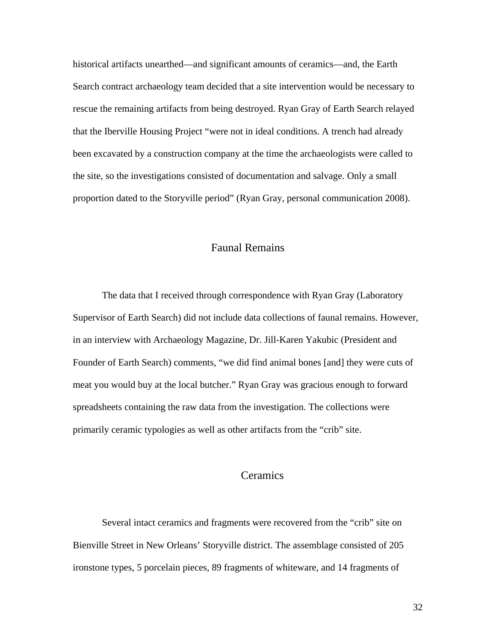historical artifacts unearthed—and significant amounts of ceramics—and, the Earth Search contract archaeology team decided that a site intervention would be necessary to rescue the remaining artifacts from being destroyed. Ryan Gray of Earth Search relayed that the Iberville Housing Project "were not in ideal conditions. A trench had already been excavated by a construction company at the time the archaeologists were called to the site, so the investigations consisted of documentation and salvage. Only a small proportion dated to the Storyville period" (Ryan Gray, personal communication 2008).

# Faunal Remains

 The data that I received through correspondence with Ryan Gray (Laboratory Supervisor of Earth Search) did not include data collections of faunal remains. However, in an interview with Archaeology Magazine, Dr. Jill-Karen Yakubic (President and Founder of Earth Search) comments, "we did find animal bones [and] they were cuts of meat you would buy at the local butcher." Ryan Gray was gracious enough to forward spreadsheets containing the raw data from the investigation. The collections were primarily ceramic typologies as well as other artifacts from the "crib" site.

# **Ceramics**

Several intact ceramics and fragments were recovered from the "crib" site on Bienville Street in New Orleans' Storyville district. The assemblage consisted of 205 ironstone types, 5 porcelain pieces, 89 fragments of whiteware, and 14 fragments of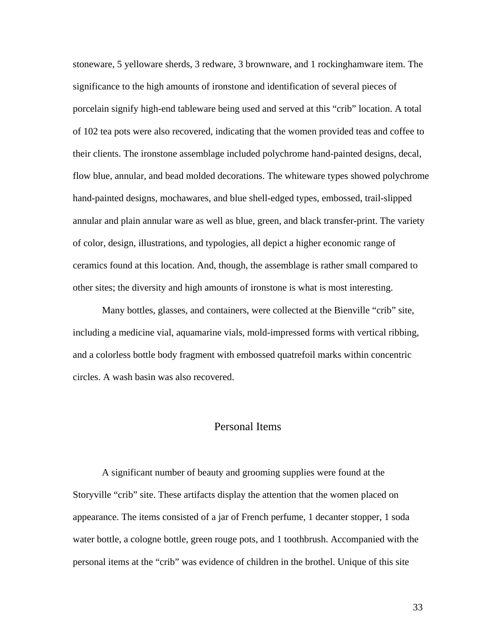stoneware, 5 yelloware sherds, 3 redware, 3 brownware, and 1 rockinghamware item. The significance to the high amounts of ironstone and identification of several pieces of porcelain signify high-end tableware being used and served at this "crib" location. A total of 102 tea pots were also recovered, indicating that the women provided teas and coffee to their clients. The ironstone assemblage included polychrome hand-painted designs, decal, flow blue, annular, and bead molded decorations. The whiteware types showed polychrome hand-painted designs, mochawares, and blue shell-edged types, embossed, trail-slipped annular and plain annular ware as well as blue, green, and black transfer-print. The variety of color, design, illustrations, and typologies, all depict a higher economic range of ceramics found at this location. And, though, the assemblage is rather small compared to other sites; the diversity and high amounts of ironstone is what is most interesting.

Many bottles, glasses, and containers, were collected at the Bienville "crib" site, including a medicine vial, aquamarine vials, mold-impressed forms with vertical ribbing, and a colorless bottle body fragment with embossed quatrefoil marks within concentric circles. A wash basin was also recovered.

# Personal Items

 A significant number of beauty and grooming supplies were found at the Storyville "crib" site. These artifacts display the attention that the women placed on appearance. The items consisted of a jar of French perfume, 1 decanter stopper, 1 soda water bottle, a cologne bottle, green rouge pots, and 1 toothbrush. Accompanied with the personal items at the "crib" was evidence of children in the brothel. Unique of this site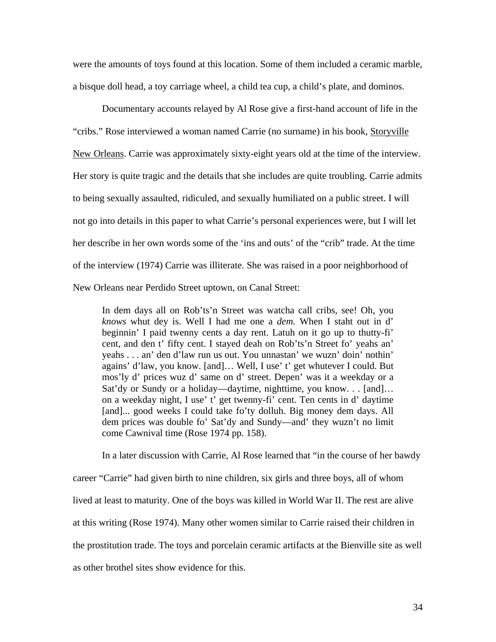were the amounts of toys found at this location. Some of them included a ceramic marble, a bisque doll head, a toy carriage wheel, a child tea cup, a child's plate, and dominos.

 Documentary accounts relayed by Al Rose give a first-hand account of life in the "cribs." Rose interviewed a woman named Carrie (no surname) in his book, Storyville New Orleans. Carrie was approximately sixty-eight years old at the time of the interview. Her story is quite tragic and the details that she includes are quite troubling. Carrie admits to being sexually assaulted, ridiculed, and sexually humiliated on a public street. I will not go into details in this paper to what Carrie's personal experiences were, but I will let her describe in her own words some of the 'ins and outs' of the "crib" trade. At the time of the interview (1974) Carrie was illiterate. She was raised in a poor neighborhood of New Orleans near Perdido Street uptown, on Canal Street:

In dem days all on Rob'ts'n Street was watcha call cribs, see! Oh, you *knows* whut dey is. Well I had me one a *dem.* When I staht out in d' beginnin' I paid twenny cents a day rent. Latuh on it go up to thutty-fi' cent, and den t' fifty cent. I stayed deah on Rob'ts'n Street fo' yeahs an' yeahs . . . an' den d'law run us out. You unnastan' we wuzn' doin' nothin' agains' d'law, you know. [and]… Well, I use' t' get whutever I could. But mos'ly d' prices wuz d' same on d' street. Depen' was it a weekday or a Sat'dy or Sundy or a holiday—daytime, nighttime, you know. . . [and]… on a weekday night, I use' t' get twenny-fi' cent. Ten cents in d' daytime [and]... good weeks I could take fo'ty dolluh. Big money dem days. All dem prices was double fo' Sat'dy and Sundy—and' they wuzn't no limit come Cawnival time (Rose 1974 pp. 158).

In a later discussion with Carrie, Al Rose learned that "in the course of her bawdy career "Carrie" had given birth to nine children, six girls and three boys, all of whom lived at least to maturity. One of the boys was killed in World War II. The rest are alive at this writing (Rose 1974). Many other women similar to Carrie raised their children in the prostitution trade. The toys and porcelain ceramic artifacts at the Bienville site as well as other brothel sites show evidence for this.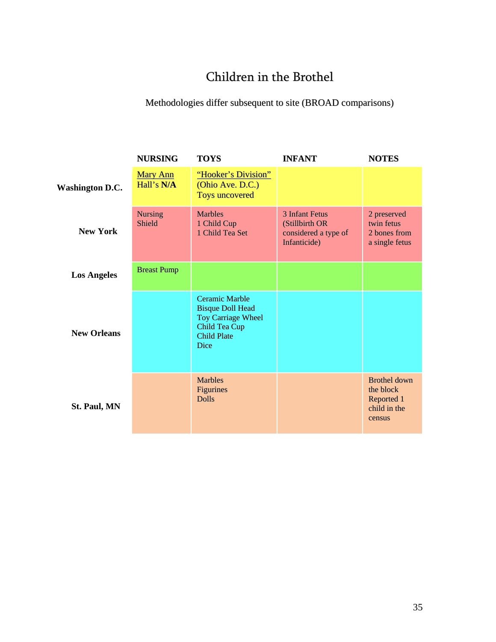# Children in the Brothel

# Methodologies differ subsequent to site (BROAD comparisons)

|                        | <b>NURSING</b>                | <b>TOYS</b>                                                                                                                         | <b>INFANT</b>                                                                   | <b>NOTES</b>                                                             |
|------------------------|-------------------------------|-------------------------------------------------------------------------------------------------------------------------------------|---------------------------------------------------------------------------------|--------------------------------------------------------------------------|
| <b>Washington D.C.</b> | <b>Mary Ann</b><br>Hall's N/A | "Hooker's Division"<br>(Ohio Ave. D.C.)<br><b>Toys uncovered</b>                                                                    |                                                                                 |                                                                          |
| <b>New York</b>        | <b>Nursing</b><br>Shield      | <b>Marbles</b><br>1 Child Cup<br>1 Child Tea Set                                                                                    | <b>3 Infant Fetus</b><br>(Stillbirth OR<br>considered a type of<br>Infanticide) | 2 preserved<br>twin fetus<br>2 hones from<br>a single fetus              |
| <b>Los Angeles</b>     | <b>Breast Pump</b>            |                                                                                                                                     |                                                                                 |                                                                          |
| <b>New Orleans</b>     |                               | <b>Ceramic Marble</b><br><b>Bisque Doll Head</b><br><b>Toy Carriage Wheel</b><br>Child Tea Cup<br><b>Child Plate</b><br><b>Dice</b> |                                                                                 |                                                                          |
| <b>St. Paul, MN</b>    |                               | <b>Marbles</b><br><b>Figurines</b><br><b>Dolls</b>                                                                                  |                                                                                 | <b>Brothel down</b><br>the block<br>Reported 1<br>child in the<br>census |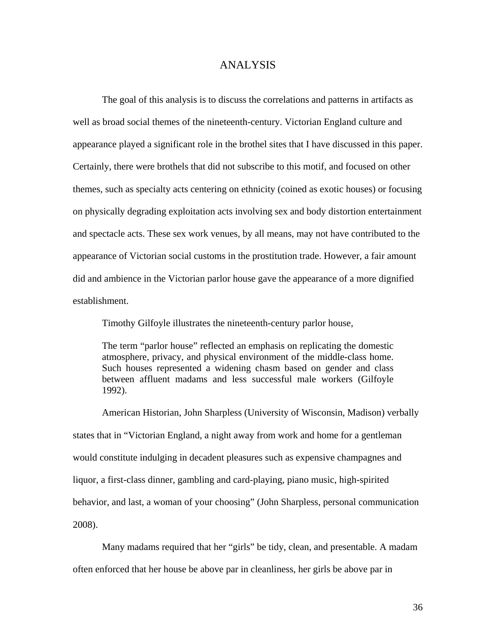### ANALYSIS

The goal of this analysis is to discuss the correlations and patterns in artifacts as well as broad social themes of the nineteenth-century. Victorian England culture and appearance played a significant role in the brothel sites that I have discussed in this paper. Certainly, there were brothels that did not subscribe to this motif, and focused on other themes, such as specialty acts centering on ethnicity (coined as exotic houses) or focusing on physically degrading exploitation acts involving sex and body distortion entertainment and spectacle acts. These sex work venues, by all means, may not have contributed to the appearance of Victorian social customs in the prostitution trade. However, a fair amount did and ambience in the Victorian parlor house gave the appearance of a more dignified establishment.

Timothy Gilfoyle illustrates the nineteenth-century parlor house,

The term "parlor house" reflected an emphasis on replicating the domestic atmosphere, privacy, and physical environment of the middle-class home. Such houses represented a widening chasm based on gender and class between affluent madams and less successful male workers (Gilfoyle 1992).

American Historian, John Sharpless (University of Wisconsin, Madison) verbally states that in "Victorian England, a night away from work and home for a gentleman would constitute indulging in decadent pleasures such as expensive champagnes and liquor, a first-class dinner, gambling and card-playing, piano music, high-spirited behavior, and last, a woman of your choosing" (John Sharpless, personal communication 2008).

Many madams required that her "girls" be tidy, clean, and presentable. A madam often enforced that her house be above par in cleanliness, her girls be above par in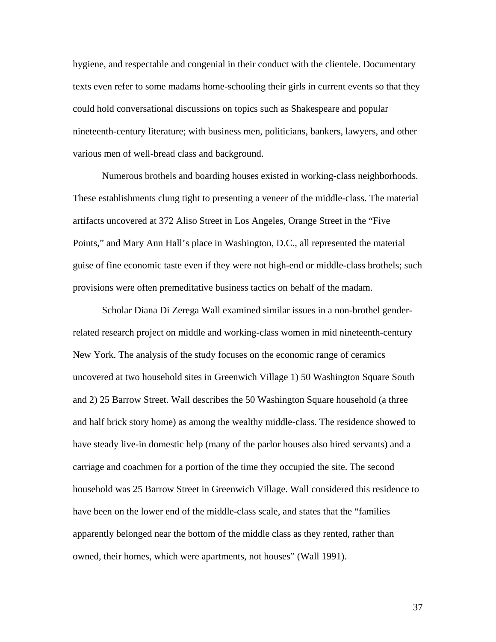hygiene, and respectable and congenial in their conduct with the clientele. Documentary texts even refer to some madams home-schooling their girls in current events so that they could hold conversational discussions on topics such as Shakespeare and popular nineteenth-century literature; with business men, politicians, bankers, lawyers, and other various men of well-bread class and background.

Numerous brothels and boarding houses existed in working-class neighborhoods. These establishments clung tight to presenting a veneer of the middle-class. The material artifacts uncovered at 372 Aliso Street in Los Angeles, Orange Street in the "Five Points," and Mary Ann Hall's place in Washington, D.C., all represented the material guise of fine economic taste even if they were not high-end or middle-class brothels; such provisions were often premeditative business tactics on behalf of the madam.

 Scholar Diana Di Zerega Wall examined similar issues in a non-brothel genderrelated research project on middle and working-class women in mid nineteenth-century New York. The analysis of the study focuses on the economic range of ceramics uncovered at two household sites in Greenwich Village 1) 50 Washington Square South and 2) 25 Barrow Street. Wall describes the 50 Washington Square household (a three and half brick story home) as among the wealthy middle-class. The residence showed to have steady live-in domestic help (many of the parlor houses also hired servants) and a carriage and coachmen for a portion of the time they occupied the site. The second household was 25 Barrow Street in Greenwich Village. Wall considered this residence to have been on the lower end of the middle-class scale, and states that the "families apparently belonged near the bottom of the middle class as they rented, rather than owned, their homes, which were apartments, not houses" (Wall 1991).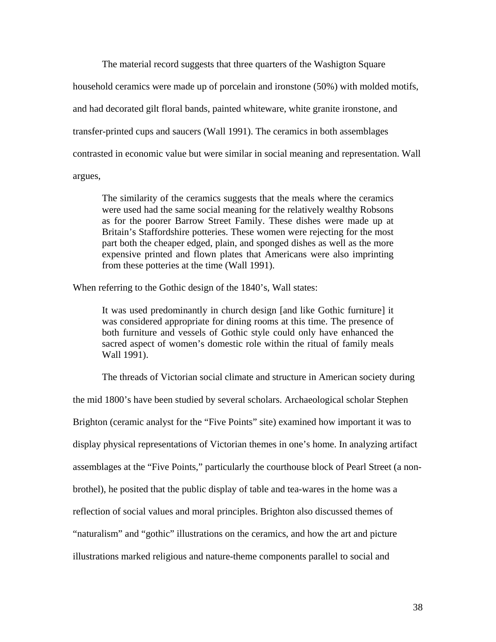The material record suggests that three quarters of the Washigton Square household ceramics were made up of porcelain and ironstone (50%) with molded motifs, and had decorated gilt floral bands, painted whiteware, white granite ironstone, and transfer-printed cups and saucers (Wall 1991). The ceramics in both assemblages contrasted in economic value but were similar in social meaning and representation. Wall argues,

The similarity of the ceramics suggests that the meals where the ceramics were used had the same social meaning for the relatively wealthy Robsons as for the poorer Barrow Street Family. These dishes were made up at Britain's Staffordshire potteries. These women were rejecting for the most part both the cheaper edged, plain, and sponged dishes as well as the more expensive printed and flown plates that Americans were also imprinting from these potteries at the time (Wall 1991).

When referring to the Gothic design of the 1840's, Wall states:

It was used predominantly in church design [and like Gothic furniture] it was considered appropriate for dining rooms at this time. The presence of both furniture and vessels of Gothic style could only have enhanced the sacred aspect of women's domestic role within the ritual of family meals Wall 1991).

The threads of Victorian social climate and structure in American society during

the mid 1800's have been studied by several scholars. Archaeological scholar Stephen Brighton (ceramic analyst for the "Five Points" site) examined how important it was to display physical representations of Victorian themes in one's home. In analyzing artifact assemblages at the "Five Points," particularly the courthouse block of Pearl Street (a nonbrothel), he posited that the public display of table and tea-wares in the home was a reflection of social values and moral principles. Brighton also discussed themes of "naturalism" and "gothic" illustrations on the ceramics, and how the art and picture illustrations marked religious and nature-theme components parallel to social and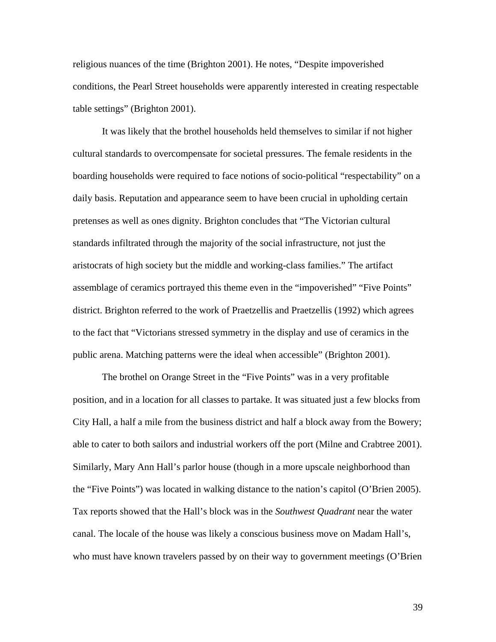religious nuances of the time (Brighton 2001). He notes, "Despite impoverished conditions, the Pearl Street households were apparently interested in creating respectable table settings" (Brighton 2001).

It was likely that the brothel households held themselves to similar if not higher cultural standards to overcompensate for societal pressures. The female residents in the boarding households were required to face notions of socio-political "respectability" on a daily basis. Reputation and appearance seem to have been crucial in upholding certain pretenses as well as ones dignity. Brighton concludes that "The Victorian cultural standards infiltrated through the majority of the social infrastructure, not just the aristocrats of high society but the middle and working-class families." The artifact assemblage of ceramics portrayed this theme even in the "impoverished" "Five Points" district. Brighton referred to the work of Praetzellis and Praetzellis (1992) which agrees to the fact that "Victorians stressed symmetry in the display and use of ceramics in the public arena. Matching patterns were the ideal when accessible" (Brighton 2001).

The brothel on Orange Street in the "Five Points" was in a very profitable position, and in a location for all classes to partake. It was situated just a few blocks from City Hall, a half a mile from the business district and half a block away from the Bowery; able to cater to both sailors and industrial workers off the port (Milne and Crabtree 2001). Similarly, Mary Ann Hall's parlor house (though in a more upscale neighborhood than the "Five Points") was located in walking distance to the nation's capitol (O'Brien 2005). Tax reports showed that the Hall's block was in the *Southwest Quadrant* near the water canal. The locale of the house was likely a conscious business move on Madam Hall's, who must have known travelers passed by on their way to government meetings (O'Brien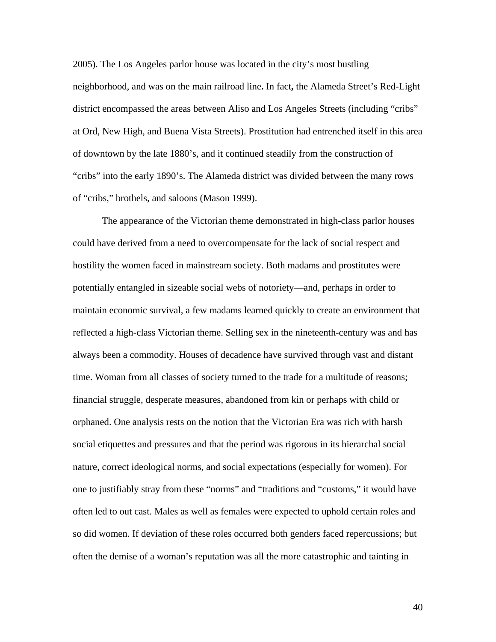2005). The Los Angeles parlor house was located in the city's most bustling neighborhood, and was on the main railroad line**.** In fact**,** the Alameda Street's Red-Light district encompassed the areas between Aliso and Los Angeles Streets (including "cribs" at Ord, New High, and Buena Vista Streets). Prostitution had entrenched itself in this area of downtown by the late 1880's, and it continued steadily from the construction of "cribs" into the early 1890's. The Alameda district was divided between the many rows of "cribs," brothels, and saloons (Mason 1999).

The appearance of the Victorian theme demonstrated in high-class parlor houses could have derived from a need to overcompensate for the lack of social respect and hostility the women faced in mainstream society. Both madams and prostitutes were potentially entangled in sizeable social webs of notoriety—and, perhaps in order to maintain economic survival, a few madams learned quickly to create an environment that reflected a high-class Victorian theme. Selling sex in the nineteenth-century was and has always been a commodity. Houses of decadence have survived through vast and distant time. Woman from all classes of society turned to the trade for a multitude of reasons; financial struggle, desperate measures, abandoned from kin or perhaps with child or orphaned. One analysis rests on the notion that the Victorian Era was rich with harsh social etiquettes and pressures and that the period was rigorous in its hierarchal social nature, correct ideological norms, and social expectations (especially for women). For one to justifiably stray from these "norms" and "traditions and "customs," it would have often led to out cast. Males as well as females were expected to uphold certain roles and so did women. If deviation of these roles occurred both genders faced repercussions; but often the demise of a woman's reputation was all the more catastrophic and tainting in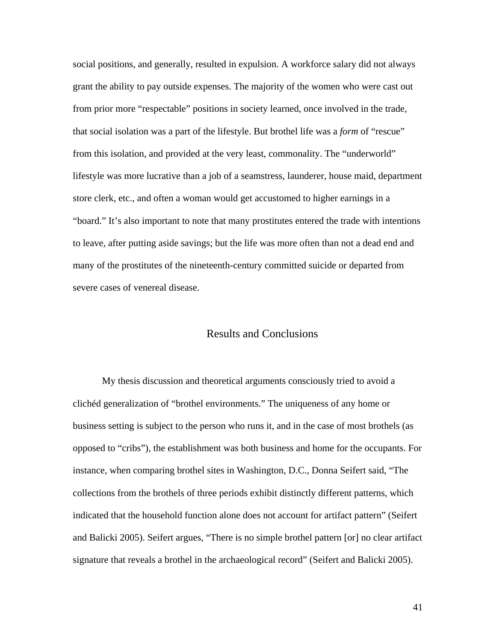social positions, and generally, resulted in expulsion. A workforce salary did not always grant the ability to pay outside expenses. The majority of the women who were cast out from prior more "respectable" positions in society learned, once involved in the trade, that social isolation was a part of the lifestyle. But brothel life was a *form* of "rescue" from this isolation, and provided at the very least, commonality. The "underworld" lifestyle was more lucrative than a job of a seamstress, launderer, house maid, department store clerk, etc., and often a woman would get accustomed to higher earnings in a "board." It's also important to note that many prostitutes entered the trade with intentions to leave, after putting aside savings; but the life was more often than not a dead end and many of the prostitutes of the nineteenth-century committed suicide or departed from severe cases of venereal disease.

# Results and Conclusions

My thesis discussion and theoretical arguments consciously tried to avoid a clichéd generalization of "brothel environments." The uniqueness of any home or business setting is subject to the person who runs it, and in the case of most brothels (as opposed to "cribs"), the establishment was both business and home for the occupants. For instance, when comparing brothel sites in Washington, D.C., Donna Seifert said, "The collections from the brothels of three periods exhibit distinctly different patterns, which indicated that the household function alone does not account for artifact pattern" (Seifert and Balicki 2005). Seifert argues, "There is no simple brothel pattern [or] no clear artifact signature that reveals a brothel in the archaeological record" (Seifert and Balicki 2005).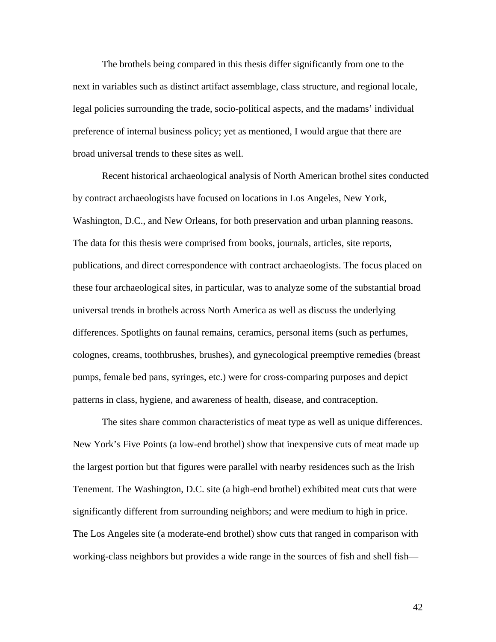The brothels being compared in this thesis differ significantly from one to the next in variables such as distinct artifact assemblage, class structure, and regional locale, legal policies surrounding the trade, socio-political aspects, and the madams' individual preference of internal business policy; yet as mentioned, I would argue that there are broad universal trends to these sites as well.

Recent historical archaeological analysis of North American brothel sites conducted by contract archaeologists have focused on locations in Los Angeles, New York, Washington, D.C., and New Orleans, for both preservation and urban planning reasons. The data for this thesis were comprised from books, journals, articles, site reports, publications, and direct correspondence with contract archaeologists. The focus placed on these four archaeological sites, in particular, was to analyze some of the substantial broad universal trends in brothels across North America as well as discuss the underlying differences. Spotlights on faunal remains, ceramics, personal items (such as perfumes, colognes, creams, toothbrushes, brushes), and gynecological preemptive remedies (breast pumps, female bed pans, syringes, etc.) were for cross-comparing purposes and depict patterns in class, hygiene, and awareness of health, disease, and contraception.

The sites share common characteristics of meat type as well as unique differences. New York's Five Points (a low-end brothel) show that inexpensive cuts of meat made up the largest portion but that figures were parallel with nearby residences such as the Irish Tenement. The Washington, D.C. site (a high-end brothel) exhibited meat cuts that were significantly different from surrounding neighbors; and were medium to high in price. The Los Angeles site (a moderate-end brothel) show cuts that ranged in comparison with working-class neighbors but provides a wide range in the sources of fish and shell fish—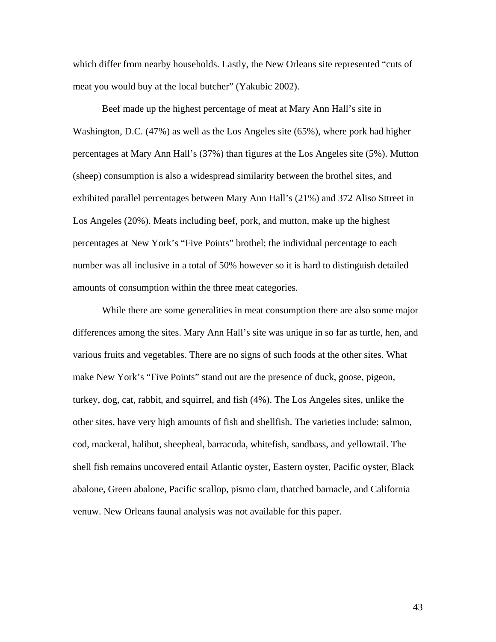which differ from nearby households. Lastly, the New Orleans site represented "cuts of meat you would buy at the local butcher" (Yakubic 2002).

Beef made up the highest percentage of meat at Mary Ann Hall's site in Washington, D.C. (47%) as well as the Los Angeles site (65%), where pork had higher percentages at Mary Ann Hall's (37%) than figures at the Los Angeles site (5%). Mutton (sheep) consumption is also a widespread similarity between the brothel sites, and exhibited parallel percentages between Mary Ann Hall's (21%) and 372 Aliso Sttreet in Los Angeles (20%). Meats including beef, pork, and mutton, make up the highest percentages at New York's "Five Points" brothel; the individual percentage to each number was all inclusive in a total of 50% however so it is hard to distinguish detailed amounts of consumption within the three meat categories.

While there are some generalities in meat consumption there are also some major differences among the sites. Mary Ann Hall's site was unique in so far as turtle, hen, and various fruits and vegetables. There are no signs of such foods at the other sites. What make New York's "Five Points" stand out are the presence of duck, goose, pigeon, turkey, dog, cat, rabbit, and squirrel, and fish (4%). The Los Angeles sites, unlike the other sites, have very high amounts of fish and shellfish. The varieties include: salmon, cod, mackeral, halibut, sheepheal, barracuda, whitefish, sandbass, and yellowtail. The shell fish remains uncovered entail Atlantic oyster, Eastern oyster, Pacific oyster, Black abalone, Green abalone, Pacific scallop, pismo clam, thatched barnacle, and California venuw. New Orleans faunal analysis was not available for this paper.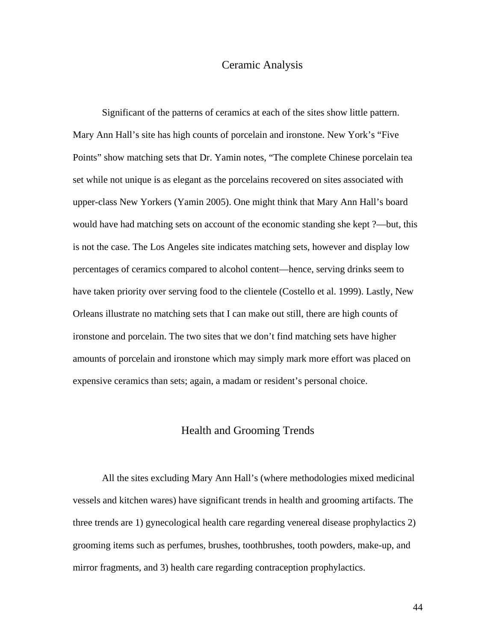### Ceramic Analysis

 Significant of the patterns of ceramics at each of the sites show little pattern. Mary Ann Hall's site has high counts of porcelain and ironstone. New York's "Five Points" show matching sets that Dr. Yamin notes, "The complete Chinese porcelain tea set while not unique is as elegant as the porcelains recovered on sites associated with upper-class New Yorkers (Yamin 2005). One might think that Mary Ann Hall's board would have had matching sets on account of the economic standing she kept ?—but, this is not the case. The Los Angeles site indicates matching sets, however and display low percentages of ceramics compared to alcohol content—hence, serving drinks seem to have taken priority over serving food to the clientele (Costello et al. 1999). Lastly, New Orleans illustrate no matching sets that I can make out still, there are high counts of ironstone and porcelain. The two sites that we don't find matching sets have higher amounts of porcelain and ironstone which may simply mark more effort was placed on expensive ceramics than sets; again, a madam or resident's personal choice.

### Health and Grooming Trends

 All the sites excluding Mary Ann Hall's (where methodologies mixed medicinal vessels and kitchen wares) have significant trends in health and grooming artifacts. The three trends are 1) gynecological health care regarding venereal disease prophylactics 2) grooming items such as perfumes, brushes, toothbrushes, tooth powders, make-up, and mirror fragments, and 3) health care regarding contraception prophylactics.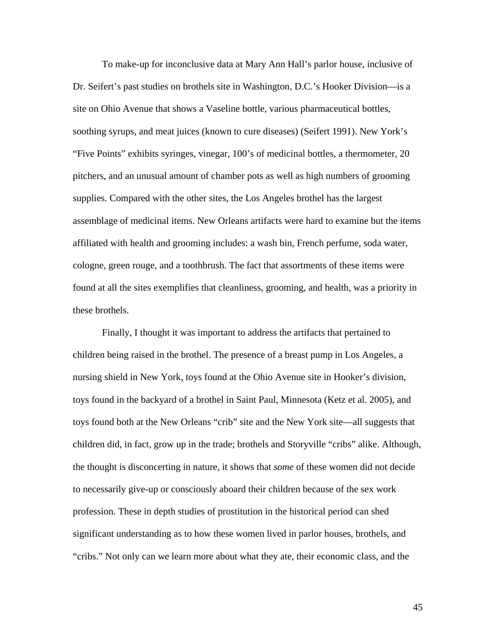To make-up for inconclusive data at Mary Ann Hall's parlor house, inclusive of Dr. Seifert's past studies on brothels site in Washington, D.C.'s Hooker Division—is a site on Ohio Avenue that shows a Vaseline bottle, various pharmaceutical bottles, soothing syrups, and meat juices (known to cure diseases) (Seifert 1991). New York's "Five Points" exhibits syringes, vinegar, 100's of medicinal bottles, a thermometer, 20 pitchers, and an unusual amount of chamber pots as well as high numbers of grooming supplies. Compared with the other sites, the Los Angeles brothel has the largest assemblage of medicinal items. New Orleans artifacts were hard to examine but the items affiliated with health and grooming includes: a wash bin, French perfume, soda water, cologne, green rouge, and a toothbrush. The fact that assortments of these items were found at all the sites exemplifies that cleanliness, grooming, and health, was a priority in these brothels.

 Finally, I thought it was important to address the artifacts that pertained to children being raised in the brothel. The presence of a breast pump in Los Angeles, a nursing shield in New York, toys found at the Ohio Avenue site in Hooker's division, toys found in the backyard of a brothel in Saint Paul, Minnesota (Ketz et al. 2005), and toys found both at the New Orleans "crib" site and the New York site—all suggests that children did, in fact, grow up in the trade; brothels and Storyville "cribs" alike. Although, the thought is disconcerting in nature, it shows that *some* of these women did not decide to necessarily give-up or consciously aboard their children because of the sex work profession. These in depth studies of prostitution in the historical period can shed significant understanding as to how these women lived in parlor houses, brothels, and "cribs." Not only can we learn more about what they ate, their economic class, and the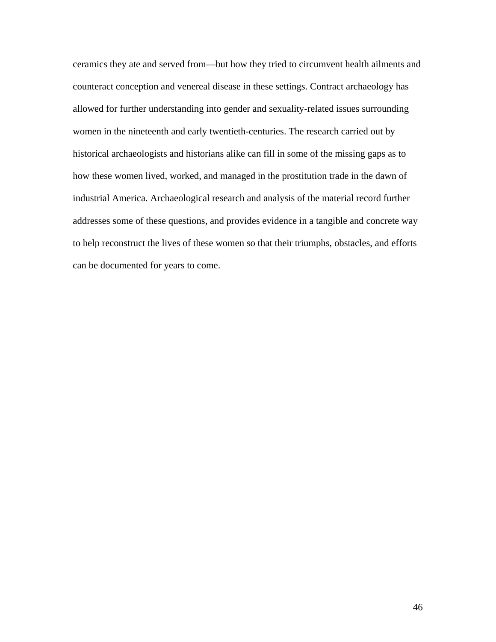ceramics they ate and served from—but how they tried to circumvent health ailments and counteract conception and venereal disease in these settings. Contract archaeology has allowed for further understanding into gender and sexuality-related issues surrounding women in the nineteenth and early twentieth-centuries. The research carried out by historical archaeologists and historians alike can fill in some of the missing gaps as to how these women lived, worked, and managed in the prostitution trade in the dawn of industrial America. Archaeological research and analysis of the material record further addresses some of these questions, and provides evidence in a tangible and concrete way to help reconstruct the lives of these women so that their triumphs, obstacles, and efforts can be documented for years to come.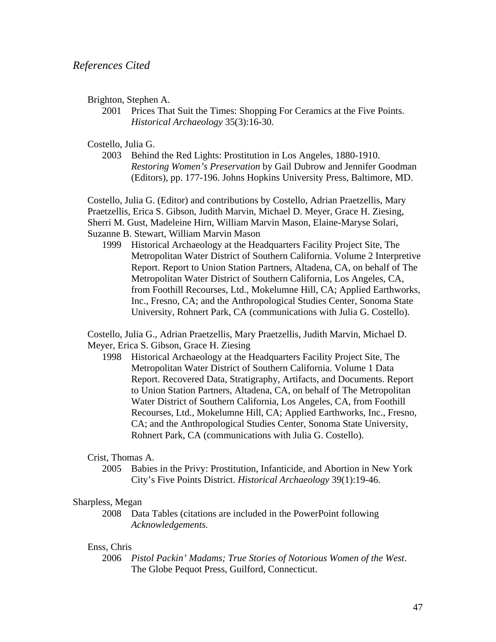Brighton, Stephen A.

2001 Prices That Suit the Times: Shopping For Ceramics at the Five Points. *Historical Archaeology* 35(3):16-30.

Costello, Julia G.

2003 Behind the Red Lights: Prostitution in Los Angeles, 1880-1910. *Restoring Women's Preservation* by Gail Dubrow and Jennifer Goodman (Editors), pp. 177-196. Johns Hopkins University Press, Baltimore, MD.

Costello, Julia G. (Editor) and contributions by Costello, Adrian Praetzellis, Mary Praetzellis, Erica S. Gibson, Judith Marvin, Michael D. Meyer, Grace H. Ziesing, Sherri M. Gust, Madeleine Hirn, William Marvin Mason, Elaine-Maryse Solari, Suzanne B. Stewart, William Marvin Mason

1999 Historical Archaeology at the Headquarters Facility Project Site, The Metropolitan Water District of Southern California. Volume 2 Interpretive Report. Report to Union Station Partners, Altadena, CA, on behalf of The Metropolitan Water District of Southern California, Los Angeles, CA, from Foothill Recourses, Ltd., Mokelumne Hill, CA; Applied Earthworks, Inc., Fresno, CA; and the Anthropological Studies Center, Sonoma State University, Rohnert Park, CA (communications with Julia G. Costello).

 Costello, Julia G., Adrian Praetzellis, Mary Praetzellis, Judith Marvin, Michael D. Meyer, Erica S. Gibson, Grace H. Ziesing

1998 Historical Archaeology at the Headquarters Facility Project Site, The Metropolitan Water District of Southern California. Volume 1 Data Report. Recovered Data, Stratigraphy, Artifacts, and Documents. Report to Union Station Partners, Altadena, CA, on behalf of The Metropolitan Water District of Southern California, Los Angeles, CA, from Foothill Recourses, Ltd., Mokelumne Hill, CA; Applied Earthworks, Inc., Fresno, CA; and the Anthropological Studies Center, Sonoma State University, Rohnert Park, CA (communications with Julia G. Costello).

### Crist, Thomas A.

2005 Babies in the Privy: Prostitution, Infanticide, and Abortion in New York City's Five Points District. *Historical Archaeology* 39(1):19-46.

### Sharpless, Megan

 2008 Data Tables (citations are included in the PowerPoint following *Acknowledgements.*

### Enss, Chris

2006 *Pistol Packin' Madams; True Stories of Notorious Women of the West*. The Globe Pequot Press, Guilford, Connecticut.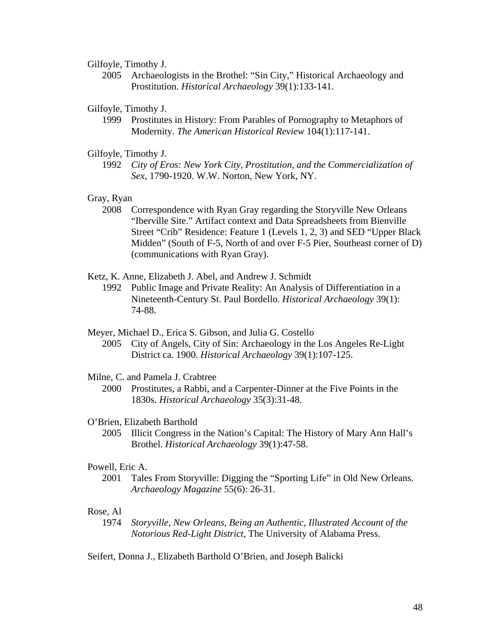#### Gilfoyle, Timothy J.

2005 Archaeologists in the Brothel: "Sin City," Historical Archaeology and Prostitution. *Historical Archaeology* 39(1):133-141.

### Gilfoyle, Timothy J.

1999 Prostitutes in History: From Parables of Pornography to Metaphors of Modernity. *The American Historical Review* 104(1):117-141.

### Gilfoyle, Timothy J.

 1992 *City of Eros: New York City, Prostitution, and the Commercialization of Sex*, 1790-1920. W.W. Norton, New York, NY.

### Gray, Ryan

2008 Correspondence with Ryan Gray regarding the Storyville New Orleans "Iberville Site." Artifact context and Data Spreadsheets from Bienville Street "Crib" Residence: Feature 1 (Levels 1, 2, 3) and SED "Upper Black Midden" (South of F-5, North of and over F-5 Pier, Southeast corner of D) (communications with Ryan Gray).

### Ketz, K. Anne, Elizabeth J. Abel, and Andrew J. Schmidt

1992 Public Image and Private Reality: An Analysis of Differentiation in a Nineteenth-Century St. Paul Bordello. *Historical Archaeology* 39(1): 74-88.

Meyer, Michael D., Erica S. Gibson, and Julia G. Costello

2005 City of Angels, City of Sin: Archaeology in the Los Angeles Re-Light District ca. 1900. *Historical Archaeology* 39(1):107-125.

### Milne, C. and Pamela J. Crabtree

2000 Prostitutes, a Rabbi, and a Carpenter-Dinner at the Five Points in the 1830s. *Historical Archaeology* 35(3):31-48.

### O'Brien, Elizabeth Barthold

2005 Illicit Congress in the Nation's Capital: The History of Mary Ann Hall's Brothel. *Historical Archaeology* 39(1):47-58.

### Powell, Eric A.

2001 Tales From Storyville: Digging the "Sporting Life" in Old New Orleans. *Archaeology Magazine* 55(6): 26-31.

### Rose, Al

 1974 *Storyville, New Orleans, Being an Authentic, Illustrated Account of the Notorious Red-Light District*, The University of Alabama Press.

Seifert, Donna J., Elizabeth Barthold O'Brien, and Joseph Balicki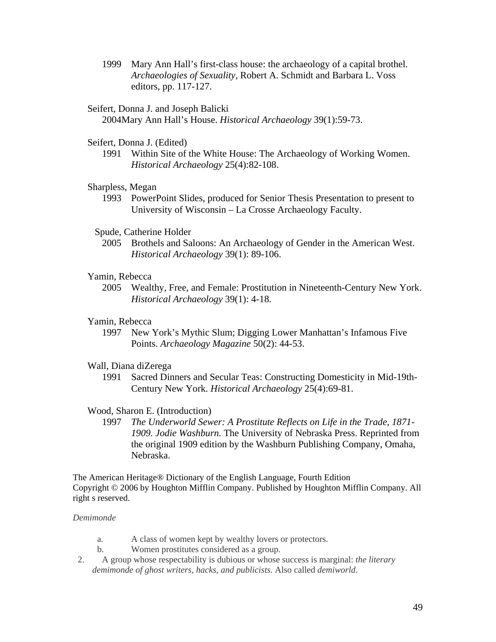1999 Mary Ann Hall's first-class house: the archaeology of a capital brothel. *Archaeologies of Sexuality,* Robert A. Schmidt and Barbara L. Voss editors, pp. 117-127.

### Seifert, Donna J. and Joseph Balicki

2004Mary Ann Hall's House. *Historical Archaeology* 39(1):59-73.

### Seifert, Donna J. (Edited)

1991 Within Site of the White House: The Archaeology of Working Women. *Historical Archaeology* 25(4):82-108.

### Sharpless, Megan

1993 PowerPoint Slides, produced for Senior Thesis Presentation to present to University of Wisconsin – La Crosse Archaeology Faculty.

### Spude, Catherine Holder

 2005 Brothels and Saloons: An Archaeology of Gender in the American West. *Historical Archaeology* 39(1): 89-106.

### Yamin, Rebecca

2005 Wealthy, Free, and Female: Prostitution in Nineteenth-Century New York. *Historical Archaeology* 39(1): 4-18.

### Yamin, Rebecca

1997 New York's Mythic Slum; Digging Lower Manhattan's Infamous Five Points. *Archaeology Magazine* 50(2): 44-53.

### Wall, Diana diZerega

1991 Sacred Dinners and Secular Teas: Constructing Domesticity in Mid-19th-Century New York. *Historical Archaeology* 25(4):69-81.

### Wood, Sharon E. (Introduction)

 1997 *The Underworld Sewer: A Prostitute Reflects on Life in the Trade, 1871- 1909. Jodie Washburn.* The University of Nebraska Press. Reprinted from the original 1909 edition by the Washburn Publishing Company, Omaha, Nebraska.

The American Heritage® Dictionary of the English Language, Fourth Edition Copyright © 2006 by Houghton Mifflin Company. Published by Houghton Mifflin Company. All right s reserved.

### *Demimonde*

- a. A class of women kept by wealthy lovers or protectors.
- b. Women prostitutes considered as a group.
- 2. A group whose respectability is dubious or whose success is marginal: *the literary demimonde of ghost writers, hacks, and publicists.* Also called *demiworld*.